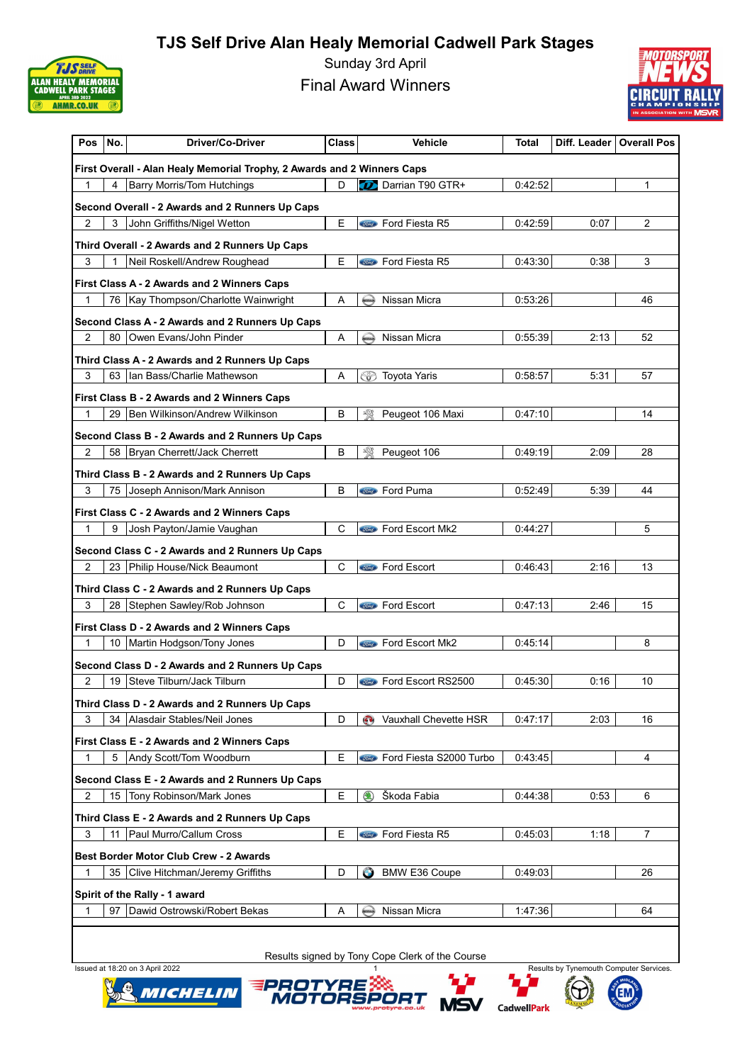

Sunday 3rd April Final Award Winners



| Pos            | No.  | <b>Driver/Co-Driver</b>                                                 | Class | <b>Vehicle</b>                       | Total   |      | Diff. Leader   Overall Pos |
|----------------|------|-------------------------------------------------------------------------|-------|--------------------------------------|---------|------|----------------------------|
|                |      | First Overall - Alan Healy Memorial Trophy, 2 Awards and 2 Winners Caps |       |                                      |         |      |                            |
| 1              |      | <b>Barry Morris/Tom Hutchings</b>                                       | D     | Darrian T90 GTR+                     | 0:42:52 |      | 1                          |
|                |      | Second Overall - 2 Awards and 2 Runners Up Caps                         |       |                                      |         |      |                            |
| $\overline{2}$ | 3    | John Griffiths/Nigel Wetton                                             | E     | <b>Stird</b> Ford Fiesta R5          | 0:42:59 | 0:07 | 2                          |
|                |      | Third Overall - 2 Awards and 2 Runners Up Caps                          |       |                                      |         |      |                            |
| 3              |      | Neil Roskell/Andrew Roughead                                            | Ε     | <b>State</b> Ford Fiesta R5          | 0:43:30 | 0.38 | 3                          |
|                |      | First Class A - 2 Awards and 2 Winners Caps                             |       |                                      |         |      |                            |
| 1              |      | 76   Kay Thompson/Charlotte Wainwright                                  | Α     | Nissan Micra<br>WESAN                | 0:53:26 |      | 46                         |
|                |      | Second Class A - 2 Awards and 2 Runners Up Caps                         |       |                                      |         |      |                            |
| 2              |      | 80 Owen Evans/John Pinder                                               | Α     | Nissan Micra<br>شمعية                | 0:55:39 | 2:13 | 52                         |
|                |      | Third Class A - 2 Awards and 2 Runners Up Caps                          |       |                                      |         |      |                            |
| 3              |      | 63 Ian Bass/Charlie Mathewson                                           | Α     | ⊛<br><b>Toyota Yaris</b>             | 0:58:57 | 5:31 | 57                         |
|                |      | First Class B - 2 Awards and 2 Winners Caps                             |       |                                      |         |      |                            |
| 1              |      | 29   Ben Wilkinson/Andrew Wilkinson                                     | B     | 恣<br>Peugeot 106 Maxi                | 0.47:10 |      | 14                         |
|                |      | Second Class B - 2 Awards and 2 Runners Up Caps                         |       |                                      |         |      |                            |
| $\overline{2}$ |      | 58   Bryan Cherrett/Jack Cherrett                                       | B     | Peugeot 106                          | 0.49.19 | 2:09 | 28                         |
|                |      | Third Class B - 2 Awards and 2 Runners Up Caps                          |       |                                      |         |      |                            |
| 3              | 75 I | Joseph Annison/Mark Annison                                             | B     | Sind Ford Puma                       | 0:52:49 | 5:39 | 44                         |
|                |      | First Class C - 2 Awards and 2 Winners Caps                             |       |                                      |         |      |                            |
| 1              | 9    | Josh Payton/Jamie Vaughan                                               | C     | <b>Stind</b> Ford Escort Mk2         | 0:44:27 |      | 5                          |
|                |      | Second Class C - 2 Awards and 2 Runners Up Caps                         |       |                                      |         |      |                            |
| 2              |      | 23 Philip House/Nick Beaumont                                           | C     | <b>Stand Pord Escort</b>             | 0.46.43 | 2:16 | 13                         |
|                |      | Third Class C - 2 Awards and 2 Runners Up Caps                          |       |                                      |         |      |                            |
| 3              | 28   | Stephen Sawley/Rob Johnson                                              | С     | Sime Ford Escort                     | 0.47.13 | 2:46 | 15                         |
|                |      | First Class D - 2 Awards and 2 Winners Caps                             |       |                                      |         |      |                            |
| $\mathbf{1}$   |      | 10   Martin Hodgson/Tony Jones                                          | D     | <b>Stind</b> Ford Escort Mk2         | 0.45.14 |      | 8                          |
|                |      | Second Class D - 2 Awards and 2 Runners Up Caps                         |       |                                      |         |      |                            |
| 2              |      | 19   Steve Tilburn/Jack Tilburn                                         | D     | <b>Company</b> Ford Escort RS2500    | 0:45:30 | 0:16 | 10                         |
|                |      | Third Class D - 2 Awards and 2 Runners Up Caps                          |       |                                      |         |      |                            |
| 3              |      | 34   Alasdair Stables/Neil Jones                                        | D     | Vauxhall Chevette HSR                | 0:47:17 | 2:03 | 16                         |
|                |      | First Class E - 2 Awards and 2 Winners Caps                             |       |                                      |         |      |                            |
| 1              | 5    | Andy Scott/Tom Woodburn                                                 | E     | <b>Stine</b> Ford Fiesta S2000 Turbo | 0:43:45 |      | 4                          |
|                |      | Second Class E - 2 Awards and 2 Runners Up Caps                         |       |                                      |         |      |                            |
| 2              |      | 15   Tony Robinson/Mark Jones                                           | E.    | Škoda Fabia                          | 0.44.38 | 0:53 | 6                          |
|                |      | Third Class E - 2 Awards and 2 Runners Up Caps                          |       |                                      |         |      |                            |
| 3              | 11   | Paul Murro/Callum Cross                                                 | Е     | <b>Contact Ford Fiesta R5</b>        | 0.45.03 | 1:18 | 7                          |
|                |      | Best Border Motor Club Crew - 2 Awards                                  |       |                                      |         |      |                            |
| 1              |      | 35   Clive Hitchman/Jeremy Griffiths                                    | D     | <b>BMW E36 Coupe</b><br>Θ            | 0:49:03 |      | 26                         |
|                |      | Spirit of the Rally - 1 award                                           |       |                                      |         |      |                            |
| 1              |      | 97   Dawid Ostrowski/Robert Bekas                                       | Α     | Nissan Micra                         | 1:47:36 |      | 64                         |
|                |      |                                                                         |       |                                      |         |      |                            |







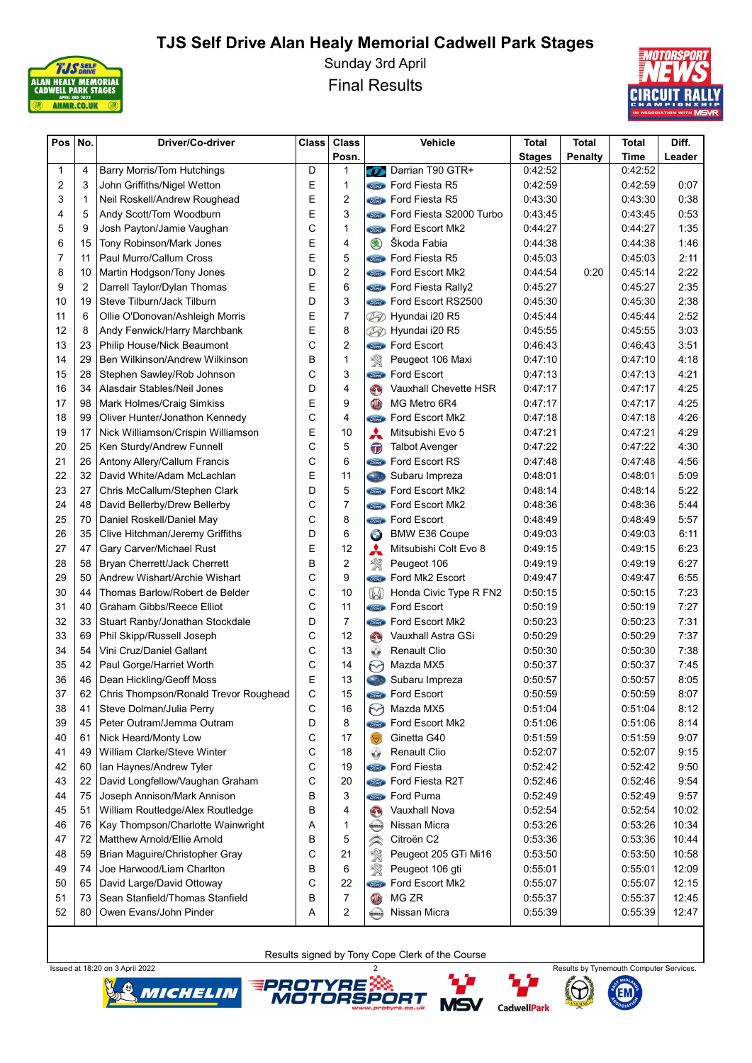

Sunday 3rd April Final Results



| Pos | No.            | Driver/Co-driver                      | <b>Class</b> | <b>Class</b>   | Vehicle               |                                        | <b>Total</b>  | <b>Total</b> | Total   | Diff.        |
|-----|----------------|---------------------------------------|--------------|----------------|-----------------------|----------------------------------------|---------------|--------------|---------|--------------|
|     |                |                                       |              | Posn.          |                       |                                        | <b>Stages</b> | Penalty      | Time    | Leader       |
| 1   | 4              | <b>Barry Morris/Tom Hutchings</b>     | D            | 1              | $\boldsymbol{\sigma}$ | Darrian T90 GTR+                       | 0:42:52       |              | 0.42:52 |              |
| 2   | 3              | John Griffiths/Nigel Wetton           | Е            | 1              |                       | <b>Street Ford Fiesta R5</b>           | 0:42:59       |              | 0.42:59 | 0:07         |
| 3   | 1              | Neil Roskell/Andrew Roughead          | E            | $\overline{2}$ |                       | <b>Street Ford Fiesta R5</b>           | 0:43:30       |              | 0:43:30 | 0:38         |
| 4   | 5              | Andy Scott/Tom Woodburn               | E            | 3              |                       | Ford Fiesta S2000 Turbo                | 0:43:45       |              | 0:43:45 | 0:53         |
| 5   | 9              | Josh Payton/Jamie Vaughan             | C            | 1              |                       | <b>Sind</b> Ford Escort Mk2            | 0:44:27       |              | 0:44:27 | 1:35         |
| 6   | 15             | Tony Robinson/Mark Jones              | E            | 4              | $\circledast$         | Škoda Fabia                            | 0:44:38       |              | 0:44:38 | 1:46         |
| 7   | 11             | Paul Murro/Callum Cross               | E            | 5              |                       | <b>Cond</b> Ford Fiesta R5             | 0:45:03       |              | 0.45.03 | 2:11         |
| 8   | 10             | Martin Hodgson/Tony Jones             | D            | $\overline{c}$ |                       | <b>State</b> Ford Escort Mk2           | 0:44:54       | 0:20         | 0.45.14 | 2:22         |
| 9   | $\overline{2}$ | Darrell Taylor/Dylan Thomas           | Ε            | 6              |                       | <b><i>Stind</i></b> Ford Fiesta Rally2 | 0:45:27       |              | 0:45:27 | 2:35         |
| 10  | 19             | Steve Tilburn/Jack Tilburn            | D            | 3              |                       | <b>State</b> Ford Escort RS2500        | 0:45:30       |              | 0:45:30 | 2:38         |
| 11  | 6              | Ollie O'Donovan/Ashleigh Morris       | E            | 7              | ØD                    | Hyundai i20 R5                         | 0:45:44       |              | 0.45.44 | 2:52         |
| 12  | 8              | Andy Fenwick/Harry Marchbank          | E            | 8              |                       | Hyundai i20 R5                         | 0:45:55       |              | 0.45:55 | 3:03         |
| 13  | 23             | Philip House/Nick Beaumont            | C            | 2              | Ø                     | <b>Come</b> Ford Escort                | 0:46:43       |              | 0:46:43 | 3:51         |
| 14  | 29             |                                       | B            |                |                       |                                        |               |              |         |              |
|     |                | Ben Wilkinson/Andrew Wilkinson        | C            | $\mathbf{1}$   | 数                     | Peugeot 106 Maxi                       | 0:47:10       |              | 0:47:10 | 4:18<br>4:21 |
| 15  | 28             | Stephen Sawley/Rob Johnson            |              | 3              | <i><b>Tord</b></i>    | <b>Ford Escort</b>                     | 0:47:13       |              | 0:47:13 |              |
| 16  | 34             | Alasdair Stables/Neil Jones           | D            | 4              | $\mathbf{O}$          | Vauxhall Chevette HSR                  | 0:47:17       |              | 0:47:17 | 4:25         |
| 17  | 98             | Mark Holmes/Craig Simkiss             | E            | 9              | <b>CD</b>             | MG Metro 6R4                           | 0:47:17       |              | 0:47:17 | 4:25         |
| 18  | 99             | Oliver Hunter/Jonathon Kennedy        | C            | 4              | Ford                  | Ford Escort Mk2                        | 0:47:18       |              | 0:47:18 | 4:26         |
| 19  | 17             | Nick Williamson/Crispin Williamson    | E            | 10             | A                     | Mitsubishi Evo 5                       | 0:47:21       |              | 0:47:21 | 4:29         |
| 20  | 25             | Ken Sturdy/Andrew Funnell             | C            | 5              | $\bf \bm \Theta$      | <b>Talbot Avenger</b>                  | 0:47:22       |              | 0:47:22 | 4:30         |
| 21  | 26             | Antony Allery/Callum Francis          | C            | 6              |                       | <b>Conce</b> Ford Escort RS            | 0:47:48       |              | 0:47:48 | 4:56         |
| 22  | 32             | David White/Adam McLachlan            | E            | 11             | Cas                   | Subaru Impreza                         | 0.48:01       |              | 0:48:01 | 5:09         |
| 23  | 27             | Chris McCallum/Stephen Clark          | D            | 5              | <b>Tord</b>           | Ford Escort Mk2                        | 0:48:14       |              | 0:48:14 | 5:22         |
| 24  | 48             | David Bellerby/Drew Bellerby          | С            | $\overline{7}$ |                       | <b>Sind</b> Ford Escort Mk2            | 0:48:36       |              | 0:48:36 | 5:44         |
| 25  | 70             | Daniel Roskell/Daniel May             | С            | 8              | Ford                  | <b>Ford Escort</b>                     | 0:48:49       |              | 0:48:49 | 5:57         |
| 26  | 35             | Clive Hitchman/Jeremy Griffiths       | D            | 6              | $\bullet$             | <b>BMW E36 Coupe</b>                   | 0:49:03       |              | 0:49:03 | 6:11         |
| 27  | 47             | Gary Carver/Michael Rust              | E            | 12             | メ                     | Mitsubishi Colt Evo 8                  | 0:49:15       |              | 0.49.15 | 6:23         |
| 28  | 58             | Bryan Cherrett/Jack Cherrett          | B            | $\overline{c}$ | 餐                     | Peugeot 106                            | 0:49:19       |              | 0:49:19 | 6:27         |
| 29  | 50             | Andrew Wishart/Archie Wishart         | С            | 9              | Ford                  | Ford Mk2 Escort                        | 0:49:47       |              | 0:49:47 | 6:55         |
| 30  | 44             | Thomas Barlow/Robert de Belder        | C            | 10             | W                     | Honda Civic Type R FN2                 | 0:50:15       |              | 0:50:15 | 7:23         |
| 31  | 40             | Graham Gibbs/Reece Elliot             | C            | 11             | <b>Ford</b>           | Ford Escort                            | 0:50:19       |              | 0:50:19 | 7:27         |
| 32  | 33             | Stuart Ranby/Jonathan Stockdale       | D            | $\overline{7}$ |                       | <b>Come</b> Ford Escort Mk2            | 0:50:23       |              | 0:50:23 | 7:31         |
| 33  | 69             | Phil Skipp/Russell Joseph             | С            | 12             | $\mathbf{C}$          | Vauxhall Astra GSi                     | 0:50:29       |              | 0:50:29 | 7:37         |
| 34  | 54             | Vini Cruz/Daniel Gallant              | С            | 13             | ↔                     | <b>Renault Clio</b>                    | 0:50:30       |              | 0:50:30 | 7:38         |
| 35  | 42             | Paul Gorge/Harriet Worth              | С            | 14             | M                     | Mazda MX5                              | 0:50:37       |              | 0:50:37 | 7:45         |
| 36  | 46             | Dean Hickling/Geoff Moss              | Ε            | 13             | Cast                  | Subaru Impreza                         | 0:50:57       |              | 0:50:57 | 8:05         |
| 37  | 62             | Chris Thompson/Ronald Trevor Roughead | С            | 15             |                       | <b>Conco</b> Ford Escort               | 0:50:59       |              | 0.50:59 | 8:07         |
| 38  | 41             | Steve Dolman/Julia Perry              | С            | 16             | $\odot$               | Mazda MX5                              | 0.51:04       |              | 0.51:04 | 8:12         |
| 39  | 45             | Peter Outram/Jemma Outram             | D            | 8              | Ford                  | Ford Escort Mk2                        | 0:51:06       |              | 0.51.06 | 8:14         |
| 40  | 61             | Nick Heard/Monty Low                  | С            | 17             |                       | Ginetta G40                            | 0:51:59       |              | 0:51:59 | 9:07         |
| 41  | 49             | William Clarke/Steve Winter           | C            | 18             | ↔                     | <b>Renault Clio</b>                    | 0:52:07       |              | 0:52:07 | 9:15         |
| 42  | 60             | Ian Haynes/Andrew Tyler               | С            | 19             |                       | <b>Sime</b> Ford Fiesta                | 0:52:42       |              | 0.52.42 | 9:50         |
| 43  | 22             | David Longfellow/Vaughan Graham       | С            | 20             | <b>Ford</b>           | Ford Fiesta R2T                        | 0.52:46       |              | 0:52:46 | 9:54         |
| 44  | 75             | Joseph Annison/Mark Annison           | B            | 3              | Ford                  | Ford Puma                              | 0:52:49       |              | 0:52:49 | 9:57         |
| 45  | 51             | William Routledge/Alex Routledge      | В            | 4              | $\mathbf{C}$          | Vauxhall Nova                          | 0.52:54       |              | 0.52.54 | 10:02        |
| 46  | 76             | Kay Thompson/Charlotte Wainwright     | Α            | 1              | <b>KISSAN</b>         | Nissan Micra                           | 0:53:26       |              | 0.53:26 | 10:34        |
| 47  | 72             | Matthew Arnold/Ellie Arnold           | B            | 5              | $\hat{\succ}$         | Citroën C2                             | 0:53:36       |              | 0.53.36 | 10:44        |
| 48  | 59             | Brian Maguire/Christopher Gray        | С            | 21             | 饗                     | Peugeot 205 GTi Mi16                   | 0:53:50       |              | 0:53:50 | 10:58        |
| 49  | 74             | Joe Harwood/Liam Charlton             | В            | 6              | 繁                     | Peugeot 106 gti                        | 0:55:01       |              | 0.55.01 | 12:09        |
| 50  | 65             | David Large/David Ottoway             | C            | 22             | <b>Tord</b>           | Ford Escort Mk2                        | 0:55:07       |              | 0.55:07 | 12:15        |
| 51  | 73             | Sean Stanfield/Thomas Stanfield       | B            | 7              | O                     | MG ZR                                  | 0:55:37       |              | 0:55:37 | 12:45        |
| 52  | 80             | Owen Evans/John Pinder                | А            | 2              | <b>KISSON</b>         | Nissan Micra                           | 0:55:39       |              | 0:55:39 | 12:47        |
|     |                |                                       |              |                |                       |                                        |               |              |         |              |









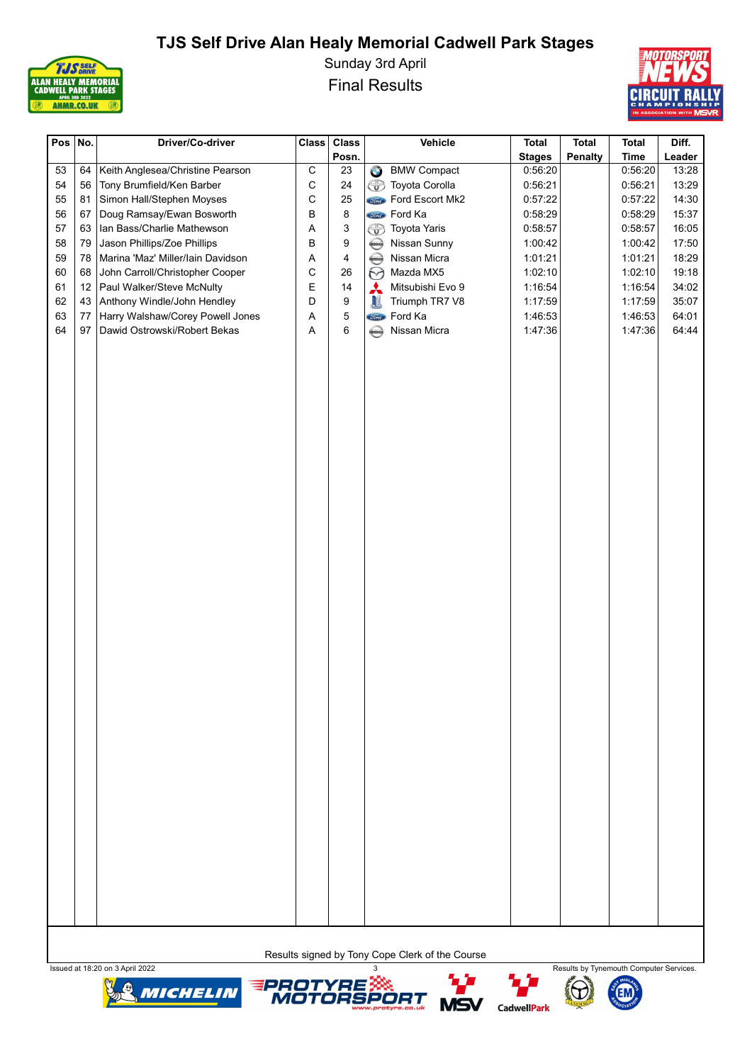

Sunday 3rd April Final Results



| Pos $No.$ |    | Driver/Co-driver                  | Class        | <b>Class</b>            |                        | Vehicle                 | <b>Total</b>  | <b>Total</b>   | <b>Total</b> | Diff.  |
|-----------|----|-----------------------------------|--------------|-------------------------|------------------------|-------------------------|---------------|----------------|--------------|--------|
|           |    |                                   |              | Posn.                   |                        |                         | <b>Stages</b> | <b>Penalty</b> | <b>Time</b>  | Leader |
| 53        | 64 | Keith Anglesea/Christine Pearson  | $\mathsf C$  | 23                      | $\bullet$              | <b>BMW Compact</b>      | 0:56:20       |                | 0:56:20      | 13:28  |
| 54        | 56 | Tony Brumfield/Ken Barber         | C            | 24                      |                        | <b>B</b> Toyota Corolla | 0:56:21       |                | 0:56:21      | 13:29  |
| 55        | 81 | Simon Hall/Stephen Moyses         | $\mathsf{C}$ | 25                      |                        | Ford Escort Mk2         | 0:57:22       |                | 0:57:22      | 14:30  |
| 56        | 67 | Doug Ramsay/Ewan Bosworth         | B            | $\bf 8$                 |                        | <b>Sind</b> Ford Ka     | 0:58:29       |                | 0:58:29      | 15:37  |
| 57        | 63 | Ian Bass/Charlie Mathewson        | Α            | 3                       | ᡦ                      | Toyota Yaris            | 0:58:57       |                | 0:58:57      | 16:05  |
| 58        | 79 | Jason Phillips/Zoe Phillips       | B            | 9                       | <b>KISSON</b>          | Nissan Sunny            | 1:00:42       |                | 1:00:42      | 17:50  |
| 59        | 78 | Marina 'Maz' Miller/lain Davidson | $\mathsf A$  | $\overline{\mathbf{4}}$ | $\bigoplus$            | Nissan Micra            | 1:01:21       |                | 1:01:21      | 18:29  |
| 60        | 68 | John Carroll/Christopher Cooper   | C            | $26\,$                  | $\odot$                | Mazda MX5               | 1:02:10       |                | 1:02:10      | 19:18  |
| 61        | 12 | Paul Walker/Steve McNulty         | E            | 14                      | $\boldsymbol{\lambda}$ | Mitsubishi Evo 9        | 1:16:54       |                | 1:16:54      | 34:02  |
| 62        | 43 | Anthony Windle/John Hendley       | D            | $\boldsymbol{9}$        | <b>JI</b>              | Triumph TR7 V8          | 1:17:59       |                | 1:17:59      | 35:07  |
| 63        | 77 | Harry Walshaw/Corey Powell Jones  | Α            | 5                       |                        | <b>Jone</b> Ford Ka     | 1:46:53       |                | 1:46:53      | 64:01  |
| 64        | 97 | Dawid Ostrowski/Robert Bekas      | $\mathsf A$  | 6                       | <b>AISSAN</b>          | Nissan Micra            | 1:47:36       |                | 1:47:36      | 64:44  |
|           |    |                                   |              |                         |                        |                         |               |                |              |        |









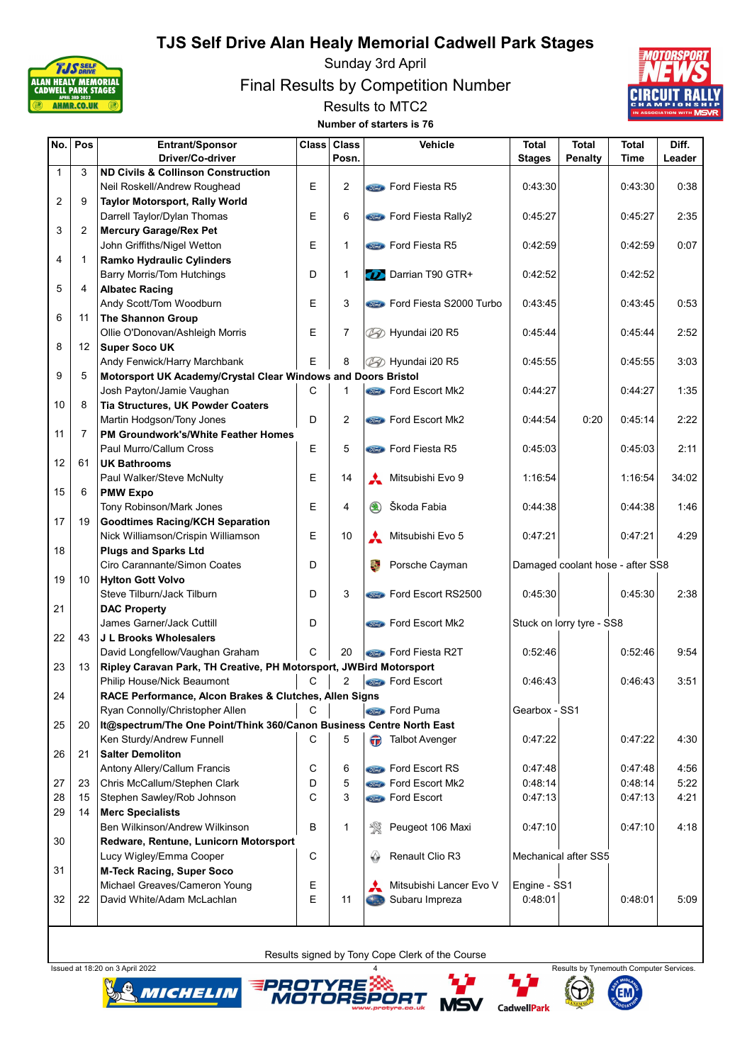

Sunday 3rd April

Final Results by Competition Number



Results to MTC2 Number of starters is 76

| No.            | Pos            | Entrant/Sponsor                                                      | <b>Class</b> | <b>Class</b>   |              | Vehicle                           | <b>Total</b>  | <b>Total</b>                     | <b>Total</b> | Diff.  |
|----------------|----------------|----------------------------------------------------------------------|--------------|----------------|--------------|-----------------------------------|---------------|----------------------------------|--------------|--------|
|                |                | Driver/Co-driver                                                     |              | Posn.          |              |                                   | <b>Stages</b> | <b>Penalty</b>                   | Time         | Leader |
| $\mathbf{1}$   | 3              | <b>ND Civils &amp; Collinson Construction</b>                        |              |                |              |                                   |               |                                  |              |        |
|                |                | Neil Roskell/Andrew Roughead                                         | E            | $\overline{2}$ |              | <b>Street Ford Fiesta R5</b>      | 0:43:30       |                                  | 0.43.30      | 0:38   |
| $\overline{2}$ | 9              | Taylor Motorsport, Rally World                                       |              |                |              |                                   |               |                                  |              |        |
|                |                | Darrell Taylor/Dylan Thomas                                          | E            | 6              |              | <b>Sind</b> Ford Fiesta Rally2    | 0:45:27       |                                  | 0:45:27      | 2:35   |
| 3              | 2              | <b>Mercury Garage/Rex Pet</b>                                        |              |                |              |                                   |               |                                  |              |        |
|                |                | John Griffiths/Nigel Wetton                                          | E            | $\mathbf{1}$   |              | <b><i>Cord</i></b> Ford Fiesta R5 | 0:42:59       |                                  | 0:42:59      | 0:07   |
| 4              | $\mathbf{1}$   | <b>Ramko Hydraulic Cylinders</b>                                     |              |                |              |                                   |               |                                  |              |        |
|                |                | <b>Barry Morris/Tom Hutchings</b>                                    | D            | $\mathbf{1}$   |              | Darrian T90 GTR+                  | 0:42:52       |                                  | 0:42:52      |        |
| 5              | 4              | <b>Albatec Racing</b>                                                |              |                |              |                                   |               |                                  |              |        |
|                |                | Andy Scott/Tom Woodburn                                              | E            | 3              |              | <b>Ford Fiesta S2000 Turbo</b>    | 0:43:45       |                                  | 0:43:45      | 0:53   |
| 6              | 11             | <b>The Shannon Group</b>                                             |              |                |              |                                   |               |                                  |              |        |
|                |                | Ollie O'Donovan/Ashleigh Morris                                      | Ε            | 7              |              | 2⁄2⁄2 Hyundai i20 R5              | 0:45:44       |                                  | 0:45:44      | 2:52   |
| 8              | 12             | <b>Super Soco UK</b>                                                 |              |                |              |                                   |               |                                  |              |        |
|                |                | Andy Fenwick/Harry Marchbank                                         | E            | 8              |              | 49 Hyundai i20 R5                 | 0:45:55       |                                  | 0:45:55      | 3:03   |
| 9              | 5              | Motorsport UK Academy/Crystal Clear Windows and Doors Bristol        |              |                |              |                                   |               |                                  |              |        |
|                |                | Josh Payton/Jamie Vaughan                                            | $\mathsf C$  | $\mathbf{1}$   |              | <b>Street</b> Ford Escort Mk2     | 0:44:27       |                                  | 0:44:27      | 1:35   |
| 10             | 8              | Tia Structures, UK Powder Coaters                                    |              |                |              |                                   |               |                                  |              |        |
|                |                | Martin Hodgson/Tony Jones                                            | D            | $\overline{2}$ |              | <b>State</b> Ford Escort Mk2      | 0:44:54       | 0:20                             | 0:45:14      | 2:22   |
| 11             | $\overline{7}$ | <b>PM Groundwork's/White Feather Homes</b>                           |              |                |              |                                   |               |                                  |              |        |
|                |                | Paul Murro/Callum Cross                                              | E            | 5              |              | <b>Street Ford Fiesta R5</b>      | 0:45:03       |                                  | 0:45:03      | 2:11   |
| 12             | 61             | <b>UK Bathrooms</b>                                                  |              |                |              |                                   |               |                                  |              |        |
|                |                |                                                                      |              |                |              |                                   |               |                                  |              |        |
|                |                | Paul Walker/Steve McNulty                                            | E            | 14             | $\mathbf{A}$ | Mitsubishi Evo 9                  | 1:16:54       |                                  | 1:16:54      | 34:02  |
| 15             | 6              | <b>PMW Expo</b>                                                      |              |                |              |                                   |               |                                  |              |        |
|                |                | Tony Robinson/Mark Jones                                             | E            | 4              | (1)          | Škoda Fabia                       | 0:44:38       |                                  | 0:44:38      | 1:46   |
| 17             | 19             | <b>Goodtimes Racing/KCH Separation</b>                               |              |                |              |                                   |               |                                  |              |        |
|                |                | Nick Williamson/Crispin Williamson                                   | E            | 10             |              | Mitsubishi Evo 5                  | 0.47:21       |                                  | 0.47:21      | 4:29   |
| 18             |                | <b>Plugs and Sparks Ltd</b>                                          |              |                |              |                                   |               |                                  |              |        |
|                |                | Ciro Carannante/Simon Coates                                         | D            |                |              | Porsche Cayman                    |               | Damaged coolant hose - after SS8 |              |        |
| 19             | 10             | <b>Hylton Gott Volvo</b>                                             |              |                |              |                                   |               |                                  |              |        |
|                |                | Steve Tilburn/Jack Tilburn                                           | D            | 3              |              | <b>State</b> Ford Escort RS2500   | 0:45:30       |                                  | 0:45:30      | 2:38   |
| 21             |                | <b>DAC Property</b>                                                  |              |                |              |                                   |               |                                  |              |        |
|                |                | James Garner/Jack Cuttill                                            | D            |                |              | <b>Come</b> Ford Escort Mk2       |               | Stuck on lorry tyre - SS8        |              |        |
| 22             | 43             | J L Brooks Wholesalers                                               |              |                |              |                                   |               |                                  |              |        |
|                |                | David Longfellow/Vaughan Graham                                      | C            | 20             |              | <b>Comp Ford Fiesta R2T</b>       | 0:52:46       |                                  | 0:52:46      | 9:54   |
| 23             | 13             | Ripley Caravan Park, TH Creative, PH Motorsport, JWBird Motorsport   |              |                |              |                                   |               |                                  |              |        |
|                |                | Philip House/Nick Beaumont                                           | С            | 2              |              | <b>Conta</b> Ford Escort          | 0.46.43       |                                  | 0:46:43      | 3:51   |
| 24             |                | RACE Performance, Alcon Brakes & Clutches, Allen Signs               |              |                |              |                                   |               |                                  |              |        |
|                |                | Ryan Connolly/Christopher Allen                                      | С            |                |              | <b>Conce</b> Ford Puma            | Gearbox - SS1 |                                  |              |        |
| 25             | 20             | It@spectrum/The One Point/Think 360/Canon Business Centre North East |              |                |              |                                   |               |                                  |              |        |
|                |                | Ken Sturdy/Andrew Funnell                                            | C            | 5              |              | n Talbot Avenger                  | 0:47:22       |                                  | 0:47:22      | 4:30   |
| 26             | 21             | <b>Salter Demoliton</b>                                              |              |                |              |                                   |               |                                  |              |        |
|                |                | Antony Allery/Callum Francis                                         | C            | 6              |              | <b>Component Ford Escort RS</b>   | 0.47:48       |                                  | 0.47:48      | 4:56   |
| 27             | 23             | Chris McCallum/Stephen Clark                                         | D            | 5              |              | <b>State</b> Ford Escort Mk2      | 0:48:14       |                                  | 0:48:14      | 5:22   |
| 28             | 15             | Stephen Sawley/Rob Johnson                                           | C            | 3              |              | <b>Store</b> Ford Escort          | 0.47:13       |                                  | 0:47:13      | 4:21   |
| 29             | 14             | <b>Merc Specialists</b>                                              |              |                |              |                                   |               |                                  |              |        |
|                |                | Ben Wilkinson/Andrew Wilkinson                                       | В            | 1              | ₩            | Peugeot 106 Maxi                  | 0.47:10       |                                  | 0.47:10      | 4:18   |
| 30             |                | Redware, Rentune, Lunicorn Motorsport                                |              |                |              |                                   |               |                                  |              |        |
|                |                | Lucy Wigley/Emma Cooper                                              | C            |                |              | Renault Clio R3                   |               | Mechanical after SS5             |              |        |
| 31             |                | <b>M-Teck Racing, Super Soco</b>                                     |              |                |              |                                   |               |                                  |              |        |
|                |                | Michael Greaves/Cameron Young                                        | Ε            |                |              | Mitsubishi Lancer Evo V           | Engine - SS1  |                                  |              |        |
| 32             | 22             | David White/Adam McLachlan                                           | E            | 11             | a a          | Subaru Impreza                    | 0.48:01       |                                  | 0.48.01      | 5:09   |
|                |                |                                                                      |              |                |              |                                   |               |                                  |              |        |
|                |                |                                                                      |              |                |              |                                   |               |                                  |              |        |









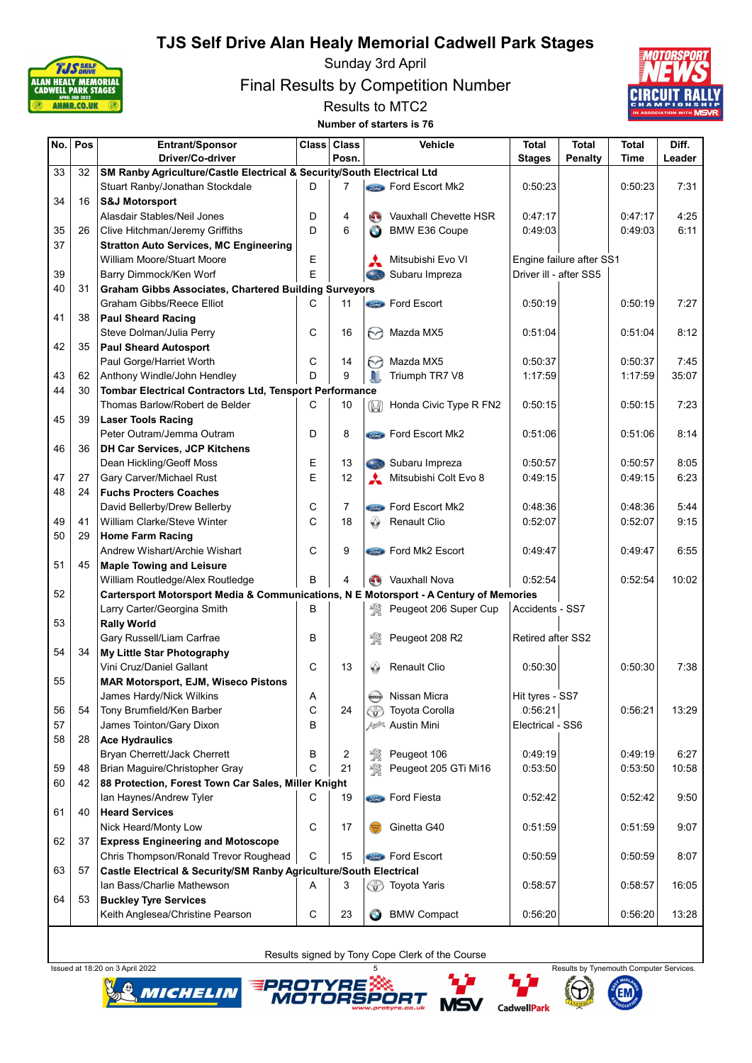

Sunday 3rd April

Final Results by Competition Number





| No. | Pos | Entrant/Sponsor                                                                       | Class <sup> </sup> | <b>Class</b>   |                   | Vehicle                        | <b>Total</b>           | <b>Total</b>             | <b>Total</b> | Diff.  |
|-----|-----|---------------------------------------------------------------------------------------|--------------------|----------------|-------------------|--------------------------------|------------------------|--------------------------|--------------|--------|
|     |     | Driver/Co-driver                                                                      |                    | Posn.          |                   |                                | <b>Stages</b>          | Penalty                  | Time         | Leader |
| 33  | 32  | SM Ranby Agriculture/Castle Electrical & Security/South Electrical Ltd                |                    |                |                   |                                |                        |                          |              |        |
|     |     | Stuart Ranby/Jonathan Stockdale                                                       | D                  | 7              |                   | <b>Sind</b> Ford Escort Mk2    | 0:50:23                |                          | 0:50:23      | 7:31   |
| 34  | 16  | <b>S&amp;J Motorsport</b>                                                             |                    |                |                   |                                |                        |                          |              |        |
|     |     | Alasdair Stables/Neil Jones                                                           | D                  | 4              | $\mathbf{C}$      | Vauxhall Chevette HSR          | 0:47:17                |                          | 0:47:17      | 4:25   |
| 35  | 26  | Clive Hitchman/Jeremy Griffiths                                                       | D                  | 6              | $\bullet$         | <b>BMW E36 Coupe</b>           | 0.49.03                |                          | 0:49:03      | 6:11   |
| 37  |     | <b>Stratton Auto Services, MC Engineering</b>                                         |                    |                |                   |                                |                        |                          |              |        |
|     |     | William Moore/Stuart Moore                                                            | Е                  |                |                   | Mitsubishi Evo VI              |                        | Engine failure after SS1 |              |        |
| 39  |     | Barry Dimmock/Ken Worf                                                                | E                  |                | <b>Chas</b>       | Subaru Impreza                 | Driver ill - after SS5 |                          |              |        |
| 40  | 31  | <b>Graham Gibbs Associates, Chartered Building Surveyors</b>                          |                    |                |                   |                                |                        |                          |              |        |
|     |     | <b>Graham Gibbs/Reece Elliot</b>                                                      | C                  | 11             |                   | <b><i>Sime</i></b> Ford Escort | 0:50:19                |                          | 0:50:19      | 7:27   |
| 41  | 38  | <b>Paul Sheard Racing</b>                                                             |                    |                |                   |                                |                        |                          |              |        |
|     |     | Steve Dolman/Julia Perry                                                              | С                  | 16             | M                 | Mazda MX5                      | 0:51:04                |                          | 0:51:04      | 8:12   |
| 42  | 35  | <b>Paul Sheard Autosport</b>                                                          |                    |                |                   |                                |                        |                          |              |        |
|     |     | Paul Gorge/Harriet Worth                                                              | С                  | 14             | M                 | Mazda MX5                      | 0:50:37                |                          | 0:50:37      | 7:45   |
| 43  | 62  | Anthony Windle/John Hendley                                                           | D                  | 9              | .NI               | Triumph TR7 V8                 | 1:17:59                |                          | 1:17:59      | 35:07  |
| 44  | 30  | Tombar Electrical Contractors Ltd, Tensport Performance                               |                    |                |                   |                                |                        |                          |              |        |
|     |     | Thomas Barlow/Robert de Belder                                                        | С                  | 10             | $\mathbb{W}$      | Honda Civic Type R FN2         | 0:50:15                |                          | 0:50:15      | 7:23   |
| 45  | 39  | <b>Laser Tools Racing</b>                                                             |                    |                |                   |                                |                        |                          |              |        |
|     |     | Peter Outram/Jemma Outram                                                             | D                  | 8              |                   | Ford Escort Mk2                | 0:51:06                |                          | 0:51:06      | 8:14   |
| 46  | 36  | <b>DH Car Services, JCP Kitchens</b>                                                  |                    |                |                   |                                |                        |                          |              |        |
|     |     | Dean Hickling/Geoff Moss                                                              | Е                  | 13             | Case              | Subaru Impreza                 | 0:50:57                |                          | 0:50:57      | 8:05   |
| 47  | 27  | Gary Carver/Michael Rust                                                              | E                  | 12             |                   | Mitsubishi Colt Evo 8          | 0:49:15                |                          | 0:49:15      | 6:23   |
| 48  | 24  | <b>Fuchs Procters Coaches</b>                                                         |                    |                |                   |                                |                        |                          |              |        |
|     |     | David Bellerby/Drew Bellerby                                                          | С                  | $\overline{7}$ |                   | <b>Come</b> Ford Escort Mk2    | 0:48:36                |                          | 0:48:36      | 5:44   |
| 49  | 41  |                                                                                       | C                  | 18             | ♤                 | Renault Clio                   | 0:52:07                |                          |              | 9:15   |
| 50  |     | William Clarke/Steve Winter                                                           |                    |                |                   |                                |                        |                          | 0:52:07      |        |
|     | 29  | <b>Home Farm Racing</b>                                                               |                    |                |                   |                                |                        |                          |              |        |
|     |     | Andrew Wishart/Archie Wishart                                                         | С                  | 9              |                   | <b>Contact</b> Ford Mk2 Escort | 0.49.47                |                          | 0:49:47      | 6:55   |
| 51  | 45  | <b>Maple Towing and Leisure</b>                                                       |                    |                |                   |                                |                        |                          |              |        |
|     |     | William Routledge/Alex Routledge                                                      | В                  | 4              | $\left( 0\right)$ | Vauxhall Nova                  | 0:52:54                |                          | 0:52:54      | 10:02  |
| 52  |     | Cartersport Motorsport Media & Communications, N E Motorsport - A Century of Memories |                    |                |                   |                                |                        |                          |              |        |
|     |     | Larry Carter/Georgina Smith                                                           | В                  |                | 琰                 | Peugeot 206 Super Cup          | Accidents - SS7        |                          |              |        |
| 53  |     | <b>Rally World</b>                                                                    |                    |                |                   |                                |                        |                          |              |        |
|     |     | Gary Russell/Liam Carfrae                                                             | B                  |                | 敎                 | Peugeot 208 R2                 | Retired after SS2      |                          |              |        |
| 54  | 34  | My Little Star Photography                                                            |                    |                |                   |                                |                        |                          |              |        |
|     |     | Vini Cruz/Daniel Gallant                                                              | C                  | 13             | ♤                 | Renault Clio                   | 0:50:30                |                          | 0:50:30      | 7:38   |
| 55  |     | <b>MAR Motorsport, EJM, Wiseco Pistons</b>                                            |                    |                |                   |                                |                        |                          |              |        |
|     |     | James Hardy/Nick Wilkins                                                              | Α                  |                | MISSAN            | Nissan Micra                   | Hit tyres - SS7        |                          |              |        |
| 56  | 54  | Tony Brumfield/Ken Barber                                                             | С                  | 24             | ᡦ                 | Toyota Corolla                 | 0:56:21                |                          | 0.56:21      | 13:29  |
| 57  |     | James Tointon/Gary Dixon                                                              | B                  |                |                   | Austin Mini                    | Electrical - SS6       |                          |              |        |
| 58  | 28  | <b>Ace Hydraulics</b>                                                                 |                    |                |                   |                                |                        |                          |              |        |
|     |     | Bryan Cherrett/Jack Cherrett                                                          | В                  | 2              | 敎                 | Peugeot 106                    | 0:49:19                |                          | 0:49:19      | 6:27   |
| 59  | 48  | Brian Maguire/Christopher Gray                                                        | С                  | 21             | 饗                 | Peugeot 205 GTi Mi16           | 0:53:50                |                          | 0:53:50      | 10:58  |
| 60  | 42  | 88 Protection, Forest Town Car Sales, Miller Knight                                   |                    |                |                   |                                |                        |                          |              |        |
|     |     | Ian Haynes/Andrew Tyler                                                               | С                  | 19             |                   | <b>Compo</b> Ford Fiesta       | 0.52:42                |                          | 0.52:42      | 9:50   |
| 61  | 40  | <b>Heard Services</b>                                                                 |                    |                |                   |                                |                        |                          |              |        |
|     |     | Nick Heard/Monty Low                                                                  | C                  | 17             |                   | Ginetta G40                    | 0:51:59                |                          | 0:51:59      | 9:07   |
| 62  | 37  | <b>Express Engineering and Motoscope</b>                                              |                    |                |                   |                                |                        |                          |              |        |
|     |     | Chris Thompson/Ronald Trevor Roughead                                                 | C                  | 15             |                   | <b>Street</b> Ford Escort      | 0:50:59                |                          | 0:50:59      | 8:07   |
| 63  | 57  | Castle Electrical & Security/SM Ranby Agriculture/South Electrical                    |                    |                |                   |                                |                        |                          |              |        |
|     |     | Ian Bass/Charlie Mathewson                                                            | Α                  | 3              |                   | <b>S</b> Toyota Yaris          | 0:58:57                |                          | 0:58:57      | 16:05  |
| 64  | 53  | <b>Buckley Tyre Services</b>                                                          |                    |                |                   |                                |                        |                          |              |        |
|     |     | Keith Anglesea/Christine Pearson                                                      | С                  | 23             | $\bullet$         | <b>BMW Compact</b>             | 0:56:20                |                          | 0.56:20      | 13:28  |









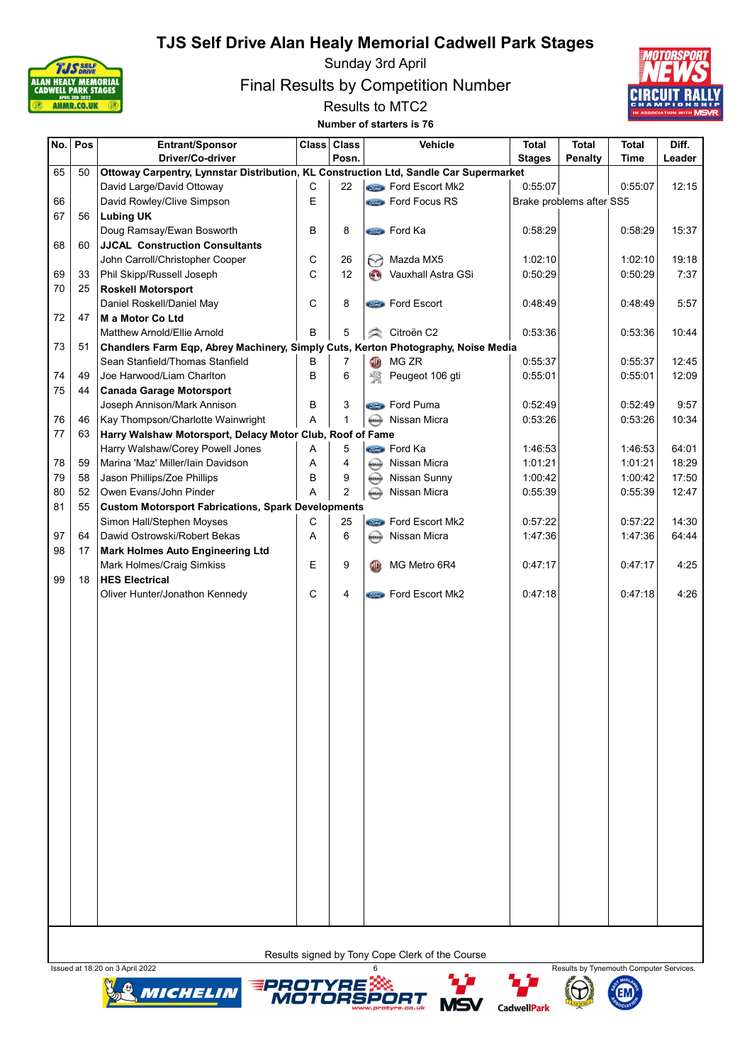

Sunday 3rd April

Final Results by Competition Number



Results to MTC2 Number of starters is 76

| No. | Pos | Entrant/Sponsor                                                                       | <b>Class</b> | <b>Class</b>   |                   | Vehicle                                         | Total         | <b>Total</b>             | <b>Total</b> | Diff.  |
|-----|-----|---------------------------------------------------------------------------------------|--------------|----------------|-------------------|-------------------------------------------------|---------------|--------------------------|--------------|--------|
|     |     | Driver/Co-driver                                                                      |              | Posn.          |                   |                                                 | <b>Stages</b> | <b>Penalty</b>           | Time         | Leader |
| 65  | 50  | Ottoway Carpentry, Lynnstar Distribution, KL Construction Ltd, Sandle Car Supermarket |              |                |                   |                                                 |               |                          |              |        |
|     |     | David Large/David Ottoway                                                             | С            | 22             |                   | <b>State</b> Ford Escort Mk2                    | 0:55:07       |                          | 0.55:07      | 12:15  |
| 66  |     | David Rowley/Clive Simpson                                                            | E            |                |                   | <b>Comp Ford Focus RS</b>                       |               | Brake problems after SS5 |              |        |
| 67  | 56  | <b>Lubing UK</b>                                                                      |              |                |                   |                                                 |               |                          |              |        |
|     |     | Doug Ramsay/Ewan Bosworth                                                             | B            | 8              |                   | <b>Stand</b> Ford Ka                            | 0:58:29       |                          | 0:58:29      | 15:37  |
| 68  | 60  | <b>JJCAL Construction Consultants</b>                                                 |              |                |                   |                                                 |               |                          |              |        |
|     |     | John Carroll/Christopher Cooper                                                       | С            | 26             | $\leftrightarrow$ | Mazda MX5                                       | 1:02:10       |                          | 1:02:10      | 19:18  |
| 69  | 33  | Phil Skipp/Russell Joseph                                                             | C            | 12             | $\mathbf{C}$      | Vauxhall Astra GSi                              | 0:50:29       |                          | 0:50:29      | 7:37   |
| 70  | 25  | <b>Roskell Motorsport</b>                                                             |              |                |                   |                                                 |               |                          |              |        |
|     |     | Daniel Roskell/Daniel May                                                             | C            | 8              |                   | <b>State</b> Ford Escort                        | 0:48:49       |                          | 0:48:49      | 5:57   |
| 72  | 47  | M a Motor Co Ltd                                                                      |              |                |                   |                                                 |               |                          |              |        |
|     |     | Matthew Arnold/Ellie Arnold                                                           | B            | 5              | ∕≥                | Citroën C2                                      | 0:53:36       |                          | 0:53:36      | 10:44  |
| 73  | 51  | Chandlers Farm Eqp, Abrey Machinery, Simply Cuts, Kerton Photography, Noise Media     |              |                |                   |                                                 |               |                          |              |        |
|     |     | Sean Stanfield/Thomas Stanfield                                                       | B            | $\overline{7}$ | O                 | MG ZR                                           | 0:55:37       |                          | 0:55:37      | 12:45  |
| 74  | 49  | Joe Harwood/Liam Charlton                                                             | B            | 6              | 饗                 | Peugeot 106 gti                                 | 0:55:01       |                          | 0:55:01      | 12:09  |
| 75  | 44  | <b>Canada Garage Motorsport</b>                                                       |              |                |                   |                                                 |               |                          |              |        |
|     |     | Joseph Annison/Mark Annison                                                           | B            | 3              |                   | <b>Stand</b> Ford Puma                          | 0:52:49       |                          | 0.52:49      | 9:57   |
| 76  | 46  | Kay Thompson/Charlotte Wainwright                                                     | Α            | $\mathbf{1}$   | <b>KISSAN</b>     | Nissan Micra                                    | 0:53:26       |                          | 0.53:26      | 10:34  |
| 77  | 63  | Harry Walshaw Motorsport, Delacy Motor Club, Roof of Fame                             |              |                |                   |                                                 |               |                          |              |        |
|     |     | Harry Walshaw/Corey Powell Jones                                                      | Α            | 5              |                   | <b>Conce</b> Ford Ka                            | 1:46:53       |                          | 1:46:53      | 64:01  |
| 78  | 59  | Marina 'Maz' Miller/lain Davidson                                                     | Α            | $\overline{4}$ | <b>KISSAN</b>     | Nissan Micra                                    | 1:01:21       |                          | 1:01:21      | 18:29  |
| 79  | 58  | Jason Phillips/Zoe Phillips                                                           | B            | 9              | <b>AUSSAY</b>     | Nissan Sunny                                    | 1:00:42       |                          | 1:00:42      | 17:50  |
| 80  | 52  | Owen Evans/John Pinder                                                                | A            | 2              | <b>AUSSAN</b>     | Nissan Micra                                    | 0:55:39       |                          | 0:55:39      | 12:47  |
| 81  | 55  | <b>Custom Motorsport Fabrications, Spark Developments</b>                             |              |                |                   |                                                 |               |                          |              |        |
|     |     | Simon Hall/Stephen Moyses                                                             | С            | 25             |                   | <b>Come</b> Ford Escort Mk2                     | 0.57:22       |                          | 0:57:22      | 14:30  |
| 97  | 64  | Dawid Ostrowski/Robert Bekas                                                          | A            | 6              | <b>AISSAN</b>     | Nissan Micra                                    | 1:47:36       |                          | 1:47:36      | 64:44  |
| 98  | 17  | <b>Mark Holmes Auto Engineering Ltd</b>                                               |              |                |                   |                                                 |               |                          |              |        |
|     |     | Mark Holmes/Craig Simkiss                                                             | E            | 9              | <b>GR</b>         | MG Metro 6R4                                    | 0:47:17       |                          | 0:47:17      | 4:25   |
| 99  | 18  | <b>HES Electrical</b>                                                                 |              |                |                   |                                                 |               |                          |              |        |
|     |     | Oliver Hunter/Jonathon Kennedy                                                        | С            | 4              |                   | Ford Escort Mk2                                 | 0:47:18       |                          | 0:47:18      | 4:26   |
|     |     |                                                                                       |              |                |                   |                                                 |               |                          |              |        |
|     |     |                                                                                       |              |                |                   |                                                 |               |                          |              |        |
|     |     |                                                                                       |              |                |                   |                                                 |               |                          |              |        |
|     |     |                                                                                       |              |                |                   |                                                 |               |                          |              |        |
|     |     |                                                                                       |              |                |                   |                                                 |               |                          |              |        |
|     |     |                                                                                       |              |                |                   |                                                 |               |                          |              |        |
|     |     |                                                                                       |              |                |                   |                                                 |               |                          |              |        |
|     |     |                                                                                       |              |                |                   |                                                 |               |                          |              |        |
|     |     |                                                                                       |              |                |                   |                                                 |               |                          |              |        |
|     |     |                                                                                       |              |                |                   |                                                 |               |                          |              |        |
|     |     |                                                                                       |              |                |                   |                                                 |               |                          |              |        |
|     |     |                                                                                       |              |                |                   |                                                 |               |                          |              |        |
|     |     |                                                                                       |              |                |                   |                                                 |               |                          |              |        |
|     |     |                                                                                       |              |                |                   |                                                 |               |                          |              |        |
|     |     |                                                                                       |              |                |                   |                                                 |               |                          |              |        |
|     |     |                                                                                       |              |                |                   |                                                 |               |                          |              |        |
|     |     |                                                                                       |              |                |                   |                                                 |               |                          |              |        |
|     |     |                                                                                       |              |                |                   |                                                 |               |                          |              |        |
|     |     |                                                                                       |              |                |                   |                                                 |               |                          |              |        |
|     |     |                                                                                       |              |                |                   |                                                 |               |                          |              |        |
|     |     |                                                                                       |              |                |                   |                                                 |               |                          |              |        |
|     |     |                                                                                       |              |                |                   |                                                 |               |                          |              |        |
|     |     |                                                                                       |              |                |                   |                                                 |               |                          |              |        |
|     |     |                                                                                       |              |                |                   |                                                 |               |                          |              |        |
|     |     |                                                                                       |              |                |                   | Results signed by Tony Cope Clerk of the Course |               |                          |              |        |









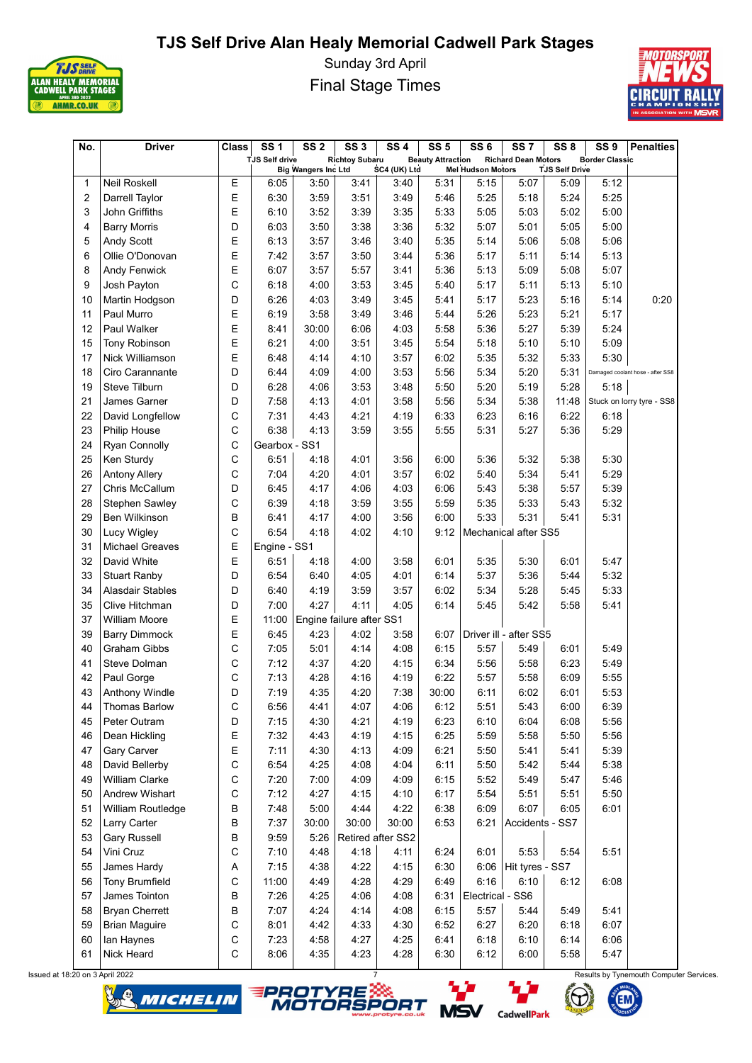

Sunday 3rd April Final Stage Times



| No. | <b>Driver</b>                   | <b>Class</b> | <b>SS1</b>            | SS <sub>2</sub>            | SS <sub>3</sub>          | <b>SS4</b>        | <b>SS 5</b>              | SS <sub>6</sub>          | SS <sub>7</sub>              | SS <sub>8</sub>       | SS <sub>9</sub>       | <b>Penalties</b>                 |
|-----|---------------------------------|--------------|-----------------------|----------------------------|--------------------------|-------------------|--------------------------|--------------------------|------------------------------|-----------------------|-----------------------|----------------------------------|
|     |                                 |              | <b>TJS Self drive</b> | <b>Big Wangers Inc Ltd</b> | <b>Richtoy Subaru</b>    | SC4 (UK) Ltd      | <b>Beauty Attraction</b> | <b>Mel Hudson Motors</b> | <b>Richard Dean Motors</b>   | <b>TJS Self Drive</b> | <b>Border Classic</b> |                                  |
| 1   | <b>Neil Roskell</b>             | Е            | 6:05                  | 3:50                       | 3:41                     | 3:40              | 5:31                     | 5:15                     | 5:07                         | 5:09                  | 5:12                  |                                  |
| 2   | Darrell Taylor                  | E            | 6:30                  | 3:59                       | 3:51                     | 3:49              | 5:46                     | 5:25                     | 5:18                         | 5:24                  | 5:25                  |                                  |
| 3   | John Griffiths                  | E            | 6:10                  | 3:52                       | 3:39                     | 3:35              | 5:33                     | 5:05                     | 5:03                         | 5:02                  | 5:00                  |                                  |
| 4   | <b>Barry Morris</b>             | D            | 6:03                  | 3:50                       | 3:38                     | 3:36              | 5:32                     | 5:07                     | 5:01                         | 5:05                  | 5:00                  |                                  |
| 5   | <b>Andy Scott</b>               | E            | 6:13                  | 3:57                       | 3:46                     | 3:40              | 5:35                     | 5:14                     | 5:06                         | 5:08                  | 5:06                  |                                  |
| 6   | Ollie O'Donovan                 | Ε            | 7:42                  | 3:57                       | 3:50                     | 3:44              | 5:36                     | 5:17                     | 5:11                         | 5:14                  | 5:13                  |                                  |
| 8   | Andy Fenwick                    | E            | 6:07                  | 3:57                       | 5:57                     | 3:41              | 5:36                     | 5:13                     | 5:09                         | 5:08                  | 5:07                  |                                  |
| 9   | Josh Payton                     | C            | 6:18                  | 4:00                       | 3:53                     | 3:45              | 5:40                     | 5:17                     | 5:11                         | 5:13                  | 5:10                  |                                  |
| 10  | Martin Hodgson                  | D            | 6:26                  | 4:03                       | 3:49                     | 3:45              | 5:41                     | 5:17                     | 5:23                         | 5:16                  | 5:14                  | 0:20                             |
| 11  | Paul Murro                      | E            | 6:19                  | 3:58                       | 3:49                     | 3:46              | 5:44                     | 5:26                     | 5:23                         | 5:21                  | 5:17                  |                                  |
| 12  | Paul Walker                     | E            | 8:41                  | 30:00                      | 6:06                     | 4:03              | 5:58                     | 5:36                     | 5:27                         | 5:39                  | 5:24                  |                                  |
| 15  | Tony Robinson                   | E            | 6:21                  | 4:00                       | 3:51                     | 3:45              | 5:54                     | 5:18                     | 5:10                         | 5:10                  | 5:09                  |                                  |
| 17  | Nick Williamson                 | E            | 6:48                  | 4:14                       | 4:10                     | 3:57              | 6:02                     | 5:35                     | 5:32                         | 5:33                  | 5:30                  |                                  |
| 18  | Ciro Carannante                 | D            | 6:44                  | 4:09                       | 4:00                     | 3:53              | 5:56                     | 5:34                     | 5:20                         | 5:31                  |                       | Damaged coolant hose - after SS8 |
| 19  | Steve Tilburn                   | D            | 6:28                  | 4:06                       | 3:53                     | 3:48              | 5:50                     | 5:20                     | 5:19                         | 5:28                  | 5:18                  |                                  |
| 21  | James Garner                    | D            | 7:58                  | 4:13                       | 4:01                     | 3:58              | 5:56                     | 5:34                     | 5:38                         | 11:48                 |                       | Stuck on lorry tyre - SS8        |
| 22  | David Longfellow                | C            | 7:31                  | 4:43                       | 4:21                     | 4:19              | 6:33                     | 6:23                     | 6:16                         | 6:22                  | 6:18                  |                                  |
| 23  | <b>Philip House</b>             | C            | 6:38                  | 4:13                       | 3:59                     | 3:55              | 5:55                     | 5:31                     | 5:27                         | 5:36                  | 5:29                  |                                  |
| 24  | Ryan Connolly                   | $\mathsf C$  | Gearbox - SS1         |                            |                          |                   |                          |                          |                              |                       |                       |                                  |
| 25  | Ken Sturdy                      | $\mathsf{C}$ | 6:51                  | 4:18                       | 4:01                     | 3:56              | 6:00                     | 5:36                     | 5:32                         | 5:38                  | 5:30                  |                                  |
| 26  | <b>Antony Allery</b>            | C            | 7:04                  | 4:20                       | 4:01                     | 3:57              | 6:02                     | 5:40                     | 5:34                         | 5:41                  | 5:29                  |                                  |
| 27  | Chris McCallum                  | D            | 6:45                  | 4:17                       | 4:06                     | 4:03              | 6:06                     | 5:43                     | 5:38                         | 5:57                  | 5:39                  |                                  |
| 28  | Stephen Sawley                  | C            | 6:39                  | 4:18                       | 3:59                     | 3:55              | 5:59                     | 5:35                     | 5:33                         | 5:43                  | 5:32                  |                                  |
| 29  | <b>Ben Wilkinson</b>            | B            | 6:41                  | 4:17                       | 4:00                     | 3:56              | 6:00                     | 5:33                     | 5:31                         | 5:41                  | 5:31                  |                                  |
| 30  | <b>Lucy Wigley</b>              | $\mathsf{C}$ | 6:54                  | 4:18                       | 4:02                     | 4:10              | 9:12                     |                          | Mechanical after SS5         |                       |                       |                                  |
| 31  | <b>Michael Greaves</b>          | Ε            | Engine - SS1          |                            |                          |                   |                          |                          |                              |                       |                       |                                  |
| 32  | David White                     | E            | 6:51                  | 4:18                       | 4:00                     | 3:58              | 6:01                     | 5:35                     | 5:30                         | 6:01                  | 5:47                  |                                  |
| 33  | <b>Stuart Ranby</b>             | D            | 6:54                  | 6:40                       | 4:05                     | 4:01              | 6:14                     | 5:37                     | 5:36                         | 5:44                  | 5:32                  |                                  |
| 34  | <b>Alasdair Stables</b>         | D            | 6:40                  | 4:19                       | 3:59                     | 3:57              | 6:02                     | 5:34                     | 5:28                         | 5:45                  | 5:33                  |                                  |
| 35  | Clive Hitchman                  | D            | 7:00                  | 4:27                       | 4:11                     | 4:05              | 6:14                     | 5:45                     | 5:42                         | 5:58                  | 5:41                  |                                  |
| 37  | William Moore                   | E            | 11:00                 |                            | Engine failure after SS1 |                   |                          |                          |                              |                       |                       |                                  |
| 39  | <b>Barry Dimmock</b>            | E            | 6:45                  | 4:23                       | 4:02                     | 3:58              | 6:07                     |                          | Driver ill - after SS5       |                       |                       |                                  |
| 40  | <b>Graham Gibbs</b>             | C            | 7:05                  | 5:01                       | 4:14                     | 4:08              | 6:15                     | 5:57                     | 5:49                         | 6:01                  | 5:49                  |                                  |
| 41  | Steve Dolman                    | C            | 7:12                  | 4:37                       | 4:20                     | 4:15              | 6:34                     | 5:56                     | 5:58                         | 6:23                  | 5:49                  |                                  |
| 42  | Paul Gorge                      | C            | 7:13                  | 4:28                       | 4:16                     | 4:19              | 6:22                     | 5:57                     | 5:58                         | 6:09                  | 5:55                  |                                  |
| 43  |                                 | D            | 7:19                  | 4:35                       | 4:20                     | 7:38              | 30:00                    | 6:11                     | 6:02                         | 6:01                  | 5:53                  |                                  |
| 44  | Anthony Windle<br>Thomas Barlow | $\mathsf C$  | 6:56                  | 4:41                       | 4:07                     | 4:06              | 6:12                     | 5:51                     | 5:43                         | 6:00                  | 6:39                  |                                  |
| 45  | Peter Outram                    | D            | 7:15                  | 4:30                       | 4:21                     | 4:19              | 6:23                     | 6:10                     | 6:04                         | 6:08                  | 5:56                  |                                  |
| 46  | Dean Hickling                   | Ε            | 7:32                  | 4:43                       | 4:19                     | 4:15              | 6:25                     | 5:59                     | 5:58                         | 5:50                  | 5:56                  |                                  |
| 47  | Gary Carver                     | Ε            | 7:11                  | 4:30                       | 4:13                     | 4:09              | 6:21                     | 5:50                     | 5:41                         | 5:41                  | 5:39                  |                                  |
| 48  | David Bellerby                  | C            | 6:54                  | 4:25                       | 4:08                     | 4:04              | 6:11                     | 5:50                     | 5:42                         | 5:44                  | 5:38                  |                                  |
| 49  | William Clarke                  | C            | 7:20                  | 7:00                       | 4:09                     | 4:09              | 6:15                     | 5:52                     | 5:49                         | 5:47                  | 5:46                  |                                  |
| 50  | Andrew Wishart                  | C            | 7:12                  | 4:27                       | 4:15                     | 4:10              | 6:17                     | 5:54                     | 5:51                         | 5:51                  | 5:50                  |                                  |
| 51  | William Routledge               | B            | 7:48                  | 5:00                       | 4:44                     | 4:22              | 6:38                     | 6:09                     | 6:07                         | 6:05                  | 6:01                  |                                  |
| 52  | Larry Carter                    | B            | 7:37                  | 30:00                      | 30:00                    | 30:00             | 6:53                     | 6:21                     | Accidents - SS7              |                       |                       |                                  |
| 53  | <b>Gary Russell</b>             | B            | 9:59                  | 5:26                       |                          | Retired after SS2 |                          |                          |                              |                       |                       |                                  |
| 54  |                                 | C            |                       | 4:48                       | 4:18                     | 4:11              |                          |                          |                              |                       |                       |                                  |
| 55  | Vini Cruz                       |              | 7:10                  |                            | 4:22                     |                   | 6:24                     | 6:01                     | 5:53<br>6.06 Hit tyres - SS7 | 5:54                  | 5:51                  |                                  |
|     | James Hardy                     | Α            | 7:15                  | 4:38                       |                          | 4:15              | 6:30                     |                          |                              |                       |                       |                                  |
| 56  | <b>Tony Brumfield</b>           | C            | 11:00                 | 4:49                       | 4:28                     | 4:29              | 6:49                     | 6:16                     | 6:10                         | 6:12                  | 6:08                  |                                  |
| 57  | James Tointon                   | B            | 7:26                  | 4:25                       | 4:06                     | 4:08              | 6:31                     | Electrical - SS6         |                              |                       |                       |                                  |
| 58  | <b>Bryan Cherrett</b>           | B            | 7:07                  | 4:24                       | 4:14                     | 4:08              | 6:15                     | 5:57                     | 5:44                         | 5:49                  | 5:41                  |                                  |
| 59  | <b>Brian Maguire</b>            | С            | 8:01                  | 4:42                       | 4:33                     | 4:30              | 6:52                     | 6:27                     | 6:20                         | 6:18                  | 6:07                  |                                  |
| 60  | lan Haynes                      | C            | 7:23                  | 4:58                       | 4:27                     | 4:25              | 6:41                     | 6:18                     | 6:10                         | 6:14                  | 6:06                  |                                  |
| 61  | <b>Nick Heard</b>               | C            | 8:06                  | 4:35                       | 4:23                     | 4:28              | 6:30                     | 6:12                     | 6:00                         | 5:58                  | 5:47                  |                                  |









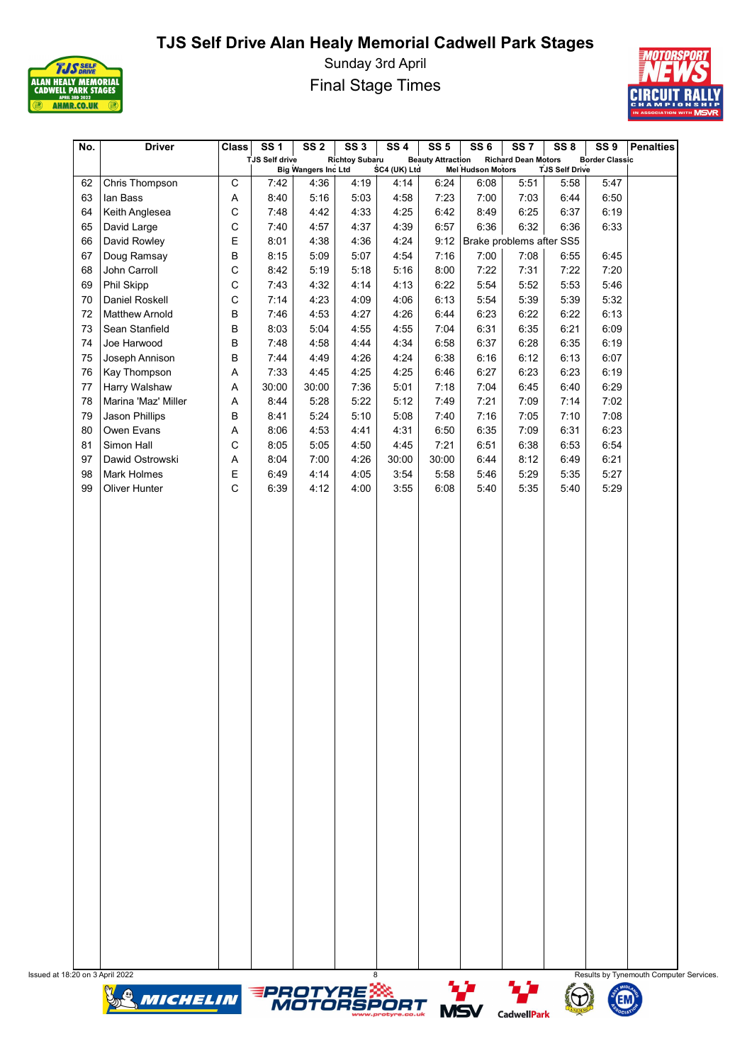

Sunday 3rd April Final Stage Times



| No.      | <b>Driver</b>                       | <b>Class</b> | <b>SS1</b><br><b>TJS Self drive</b> | SS <sub>2</sub>            | SS <sub>3</sub><br><b>Richtoy Subaru</b> | SS <sub>4</sub> | SS <sub>5</sub><br><b>Beauty Attraction</b> | SS <sub>6</sub>          | SS <sub>7</sub><br><b>Richard Dean Motors</b> | SS <sub>8</sub>       | SS <sub>9</sub><br><b>Border Classic</b> | Penalties                               |
|----------|-------------------------------------|--------------|-------------------------------------|----------------------------|------------------------------------------|-----------------|---------------------------------------------|--------------------------|-----------------------------------------------|-----------------------|------------------------------------------|-----------------------------------------|
|          |                                     |              |                                     | <b>Big Wangers Inc Ltd</b> |                                          | SC4 (UK) Ltd    |                                             | <b>Mel Hudson Motors</b> |                                               | <b>TJS Self Drive</b> |                                          |                                         |
| 62       | Chris Thompson                      | $\mathsf C$  | 7:42                                | 4:36                       | 4:19                                     | 4:14            | 6:24                                        | 6:08                     | 5:51                                          | 5:58                  | 5:47                                     |                                         |
| 63       | lan Bass                            | Α            | 8:40                                | 5:16                       | 5:03                                     | 4:58            | 7:23                                        | 7:00                     | 7:03                                          | 6:44                  | 6:50                                     |                                         |
| 64       | Keith Anglesea                      | С            | 7:48                                | 4:42                       | 4:33                                     | 4:25            | 6:42                                        | 8:49                     | 6:25                                          | 6:37                  | 6:19                                     |                                         |
| 65       | David Large                         | С            | 7:40                                | 4:57                       | 4:37                                     | 4:39            | 6:57                                        | 6:36                     | 6:32                                          | 6:36                  | 6:33                                     |                                         |
| 66       | David Rowley                        | Ε            | 8:01                                | 4:38                       | 4:36                                     | 4:24            | 9:12                                        |                          | Brake problems after SS5                      |                       |                                          |                                         |
| 67       | Doug Ramsay                         | B            | 8:15                                | 5:09                       | 5:07                                     | 4:54            | 7:16                                        | 7:00                     | 7:08                                          | 6:55                  | 6:45                                     |                                         |
| 68       | John Carroll                        | С            | 8:42                                | 5:19                       | 5:18                                     | 5:16            | 8:00                                        | 7:22                     | 7:31                                          | 7:22                  | 7:20                                     |                                         |
| 69       | Phil Skipp                          | C            | 7:43                                | 4:32                       | 4:14                                     | 4:13            | 6:22                                        | 5:54                     | 5:52                                          | 5:53                  | 5:46                                     |                                         |
| 70       | Daniel Roskell                      | С            | 7:14                                | 4:23                       | 4:09                                     | 4:06            | 6:13                                        | 5:54                     | 5:39                                          | 5:39                  | 5:32                                     |                                         |
| 72       | <b>Matthew Arnold</b>               | B            | 7:46                                | 4:53                       | 4:27                                     | 4:26            | 6:44                                        | 6:23                     | 6:22                                          | 6:22                  | 6:13                                     |                                         |
| 73       | Sean Stanfield                      | B            | 8:03                                | 5:04                       | 4:55                                     | 4:55            | 7:04                                        | 6:31                     | 6:35                                          | 6:21                  | 6:09                                     |                                         |
| 74       | Joe Harwood                         | B            | 7:48                                | 4:58                       | 4:44                                     | 4:34            | 6:58                                        | 6:37                     | 6:28                                          | 6:35                  | 6:19                                     |                                         |
| 75       | Joseph Annison                      | B            | 7:44                                | 4:49                       | 4:26                                     | 4:24            | 6:38                                        | 6:16                     | 6:12                                          | 6:13                  | 6:07                                     |                                         |
| 76       | <b>Kay Thompson</b>                 | Α            | 7:33                                | 4:45                       | 4:25                                     | 4:25            | 6:46                                        | 6:27                     | 6:23                                          | 6:23                  | 6:19                                     |                                         |
| 77       | Harry Walshaw                       | Α            | 30:00                               | 30:00                      | 7:36                                     | 5:01            | 7:18                                        | 7:04                     | 6:45                                          | 6:40                  | 6:29                                     |                                         |
| 78       | Marina 'Maz' Miller                 | Α            | 8:44                                | 5:28                       | 5:22                                     | 5:12            | 7:49                                        | 7:21                     | 7:09                                          | 7:14                  | 7:02                                     |                                         |
| 79       | Jason Phillips                      | B            | 8:41                                | 5:24                       | 5:10                                     | 5:08            | 7:40                                        | 7:16                     | 7:05                                          | 7:10                  | 7:08                                     |                                         |
| 80       | Owen Evans                          | Α            | 8:06                                | 4:53                       | 4:41                                     | 4:31            | 6:50                                        | 6:35                     | 7:09                                          | 6:31                  | 6:23                                     |                                         |
| 81       | Simon Hall                          | C            | 8:05                                | 5:05                       | 4:50                                     | 4:45            | 7:21                                        | 6:51                     | 6:38                                          | 6:53                  | 6:54                                     |                                         |
| 97       | Dawid Ostrowski                     | Α            | 8:04                                | 7:00                       | 4:26                                     | 30:00           | 30:00                                       | 6:44                     | 8:12                                          | 6:49                  | 6:21                                     |                                         |
| 98<br>99 | <b>Mark Holmes</b><br>Oliver Hunter | Ε<br>C       | 6:49<br>6:39                        | 4:14<br>4:12               | 4:05<br>4:00                             | 3:54<br>3:55    | 5:58<br>6:08                                | 5:46<br>5:40             | 5:29<br>5:35                                  | 5:35<br>5:40          | 5:27<br>5:29                             |                                         |
|          |                                     |              |                                     |                            |                                          |                 |                                             |                          |                                               |                       |                                          |                                         |
|          |                                     |              |                                     |                            |                                          |                 |                                             |                          |                                               |                       |                                          |                                         |
|          |                                     |              |                                     |                            |                                          |                 |                                             |                          |                                               |                       |                                          |                                         |
|          |                                     |              |                                     |                            |                                          |                 |                                             |                          |                                               |                       |                                          |                                         |
|          |                                     |              |                                     |                            |                                          |                 |                                             |                          |                                               |                       |                                          |                                         |
|          |                                     |              |                                     |                            |                                          |                 |                                             |                          |                                               |                       |                                          |                                         |
|          |                                     |              |                                     |                            |                                          |                 |                                             |                          |                                               |                       |                                          |                                         |
|          |                                     |              |                                     |                            |                                          |                 |                                             |                          |                                               |                       |                                          |                                         |
|          |                                     |              |                                     |                            |                                          |                 |                                             |                          |                                               |                       |                                          |                                         |
|          |                                     |              |                                     |                            |                                          |                 |                                             |                          |                                               |                       |                                          |                                         |
|          |                                     |              |                                     |                            |                                          |                 |                                             |                          |                                               |                       |                                          |                                         |
|          |                                     |              |                                     |                            |                                          |                 |                                             |                          |                                               |                       |                                          |                                         |
|          |                                     |              |                                     |                            |                                          |                 |                                             |                          |                                               |                       |                                          |                                         |
|          |                                     |              |                                     |                            |                                          |                 |                                             |                          |                                               |                       |                                          |                                         |
|          |                                     |              |                                     |                            |                                          |                 |                                             |                          |                                               |                       |                                          |                                         |
|          |                                     |              |                                     |                            |                                          |                 |                                             |                          |                                               |                       |                                          |                                         |
|          |                                     |              |                                     |                            |                                          |                 |                                             |                          |                                               |                       |                                          |                                         |
|          |                                     |              |                                     |                            |                                          |                 |                                             |                          |                                               |                       |                                          |                                         |
|          |                                     |              |                                     |                            |                                          |                 |                                             |                          |                                               |                       |                                          |                                         |
|          |                                     |              |                                     |                            |                                          |                 |                                             |                          |                                               |                       |                                          |                                         |
|          |                                     |              |                                     |                            |                                          |                 |                                             |                          |                                               |                       |                                          |                                         |
|          |                                     |              |                                     |                            |                                          |                 |                                             |                          |                                               |                       |                                          |                                         |
|          |                                     |              |                                     |                            |                                          |                 |                                             |                          |                                               |                       |                                          |                                         |
|          |                                     |              |                                     |                            |                                          |                 |                                             |                          |                                               |                       |                                          |                                         |
|          |                                     |              |                                     |                            |                                          |                 |                                             |                          |                                               |                       |                                          |                                         |
|          |                                     |              |                                     |                            |                                          |                 |                                             |                          |                                               |                       |                                          |                                         |
|          |                                     |              |                                     |                            |                                          |                 |                                             |                          |                                               |                       |                                          |                                         |
|          |                                     |              |                                     |                            |                                          |                 |                                             |                          |                                               |                       |                                          |                                         |
|          |                                     |              |                                     |                            |                                          |                 |                                             |                          |                                               |                       |                                          |                                         |
|          |                                     |              |                                     |                            |                                          |                 |                                             |                          |                                               |                       |                                          |                                         |
|          | Issued at 18:20 on 3 April 2022     |              |                                     |                            | 8                                        |                 |                                             |                          |                                               |                       |                                          | Results by Tynemouth Computer Services. |
|          | MICHELIN                            |              |                                     |                            | <b>EPROTYRE</b><br>MOTORSPC              |                 |                                             |                          | יגי                                           |                       |                                          |                                         |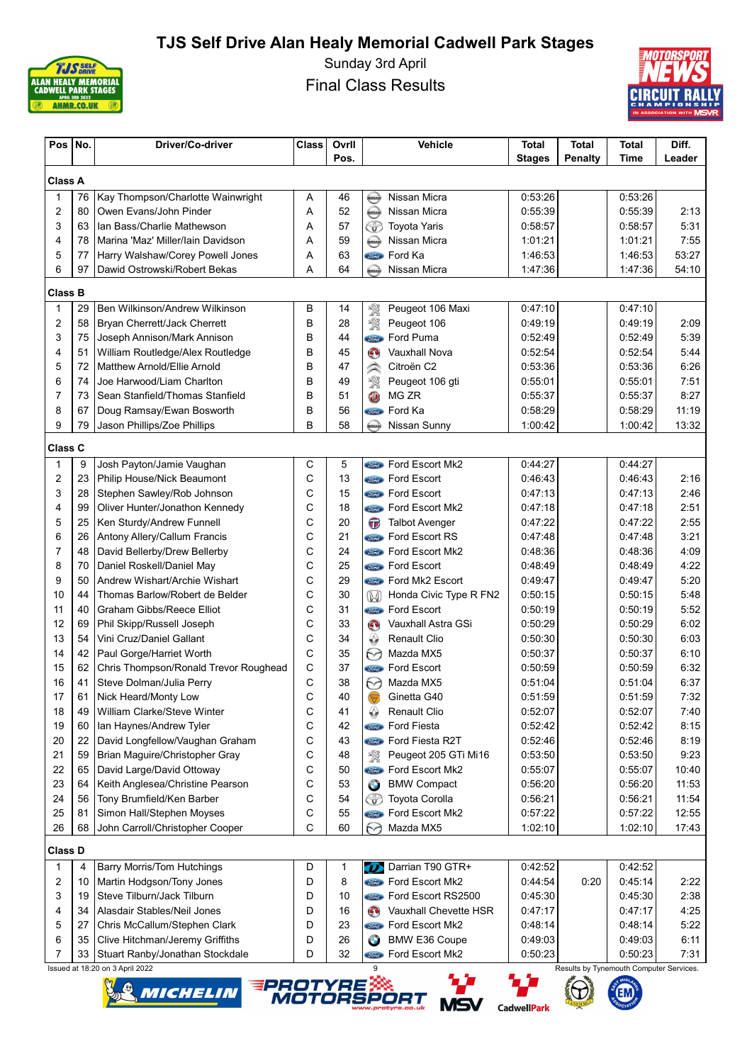

Sunday 3rd April Final Class Results



| Pos            | No. | Driver/Co-driver                                 | <b>Class</b> | Ovrll |                    | Vehicle                      | <b>Total</b>       | <b>Total</b>   | Total                                   | Diff.  |
|----------------|-----|--------------------------------------------------|--------------|-------|--------------------|------------------------------|--------------------|----------------|-----------------------------------------|--------|
|                |     |                                                  |              | Pos.  |                    |                              | <b>Stages</b>      | <b>Penalty</b> | Time                                    | Leader |
| <b>Class A</b> |     |                                                  |              |       |                    |                              |                    |                |                                         |        |
| 1              | 76  | Kay Thompson/Charlotte Wainwright                | Α            | 46    | $\bigoplus$        | Nissan Micra                 | 0:53:26            |                | 0:53:26                                 |        |
| 2              | 80  | Owen Evans/John Pinder                           | Α            | 52    | $\bigoplus$        | Nissan Micra                 | 0:55:39            |                | 0:55:39                                 | 2:13   |
| 3              | 63  | Ian Bass/Charlie Mathewson                       | Α            | 57    | ᡦ                  | <b>Toyota Yaris</b>          | 0:58:57            |                | 0:58:57                                 | 5:31   |
| 4              | 78  | Marina 'Maz' Miller/Iain Davidson                | Α            | 59    | <b>KISSAN</b>      | Nissan Micra                 | 1:01:21            |                | 1:01:21                                 | 7:55   |
| 5              | 77  | Harry Walshaw/Corey Powell Jones                 | Α            | 63    | Ford               | Ford Ka                      | 1:46:53            |                | 1:46:53                                 | 53:27  |
| 6              | 97  | Dawid Ostrowski/Robert Bekas                     | A            | 64    | MISSAN             | Nissan Micra                 | 1:47:36            |                | 1:47:36                                 | 54:10  |
| <b>Class B</b> |     |                                                  |              |       |                    |                              |                    |                |                                         |        |
| $\mathbf 1$    | 29  | Ben Wilkinson/Andrew Wilkinson                   | B            | 14    | 繁                  | Peugeot 106 Maxi             | 0:47:10            |                | 0:47:10                                 |        |
| $\overline{2}$ | 58  | Bryan Cherrett/Jack Cherrett                     | B            | 28    | 饗                  | Peugeot 106                  | 0:49:19            |                | 0:49:19                                 | 2:09   |
| 3              | 75  | Joseph Annison/Mark Annison                      | B            | 44    | <i><b>Ford</b></i> | Ford Puma                    | 0:52:49            |                | 0:52:49                                 | 5:39   |
| 4              | 51  | William Routledge/Alex Routledge                 | B            | 45    | $\mathbf{C}$       | <b>Vauxhall Nova</b>         | 0:52:54            |                | 0:52:54                                 | 5:44   |
| 5              | 72  | Matthew Arnold/Ellie Arnold                      | B            | 47    | $\curvearrowright$ | Citroën C2                   | 0:53:36            |                | 0:53:36                                 | 6:26   |
| 6              | 74  | Joe Harwood/Liam Charlton                        | B            | 49    | 饗                  | Peugeot 106 gti              | 0:55:01            |                | 0:55:01                                 | 7:51   |
| $\overline{7}$ | 73  | Sean Stanfield/Thomas Stanfield                  | B            | 51    | O                  | MG ZR                        | 0:55:37            |                | 0:55:37                                 | 8:27   |
| 8              | 67  | Doug Ramsay/Ewan Bosworth                        | B            | 56    | Ford               | Ford Ka                      | 0:58:29            |                | 0:58:29                                 | 11:19  |
| 9              | 79  | Jason Phillips/Zoe Phillips                      | B            | 58    | MESAN              | Nissan Sunny                 | 1:00:42            |                | 1:00:42                                 | 13:32  |
| Class C        |     |                                                  |              |       |                    |                              |                    |                |                                         |        |
| $\mathbf{1}$   | 9   | Josh Payton/Jamie Vaughan                        | С            | 5     | <b>Tord</b>        | Ford Escort Mk2              | 0:44:27            |                | 0:44:27                                 |        |
| $\overline{2}$ | 23  | Philip House/Nick Beaumont                       | С            | 13    |                    | <b>Stand</b> Ford Escort     | 0:46:43            |                | 0.46.43                                 | 2:16   |
| 3              | 28  | Stephen Sawley/Rob Johnson                       | С            | 15    |                    | <b>Component</b> Ford Escort | 0:47:13            |                | 0:47:13                                 | 2:46   |
| 4              | 99  | Oliver Hunter/Jonathon Kennedy                   | С            | 18    |                    | <b>Come</b> Ford Escort Mk2  | 0:47:18            |                | 0:47:18                                 | 2:51   |
| 5              | 25  | Ken Sturdy/Andrew Funnell                        | C            | 20    | $\bigoplus$        | <b>Talbot Avenger</b>        | 0:47:22            |                | 0:47:22                                 | 2:55   |
| 6              | 26  | Antony Allery/Callum Francis                     | C            | 21    |                    | <b>Come</b> Ford Escort RS   | 0.47:48            |                | 0:47:48                                 | 3:21   |
| 7              | 48  | David Bellerby/Drew Bellerby                     | C            | 24    |                    | <b>Come</b> Ford Escort Mk2  | 0:48:36            |                | 0:48:36                                 | 4:09   |
| 8              | 70  | Daniel Roskell/Daniel May                        | C            | 25    |                    | <b>Contact Ford Escort</b>   | 0.48.49            |                | 0:48:49                                 | 4:22   |
| 9              | 50  | Andrew Wishart/Archie Wishart                    | C            | 29    |                    | <b>Como</b> Ford Mk2 Escort  | 0:49:47            |                | 0:49:47                                 | 5:20   |
| 10             | 44  | Thomas Barlow/Robert de Belder                   | С            | 30    | $\mathbb{W}$       | Honda Civic Type R FN2       | 0:50:15            |                | 0:50:15                                 | 5:48   |
| 11             | 40  | Graham Gibbs/Reece Elliot                        | C            | 31    |                    | <b>Sime</b> Ford Escort      | 0:50:19            |                | 0:50:19                                 | 5:52   |
| 12             | 69  | Phil Skipp/Russell Joseph                        | C            | 33    | $\mathbf{C}$       | Vauxhall Astra GSi           | 0:50:29            |                | 0:50:29                                 | 6:02   |
| 13             | 54  | Vini Cruz/Daniel Gallant                         | С            | 34    | ↔                  | <b>Renault Clio</b>          | 0:50:30            |                | 0:50:30                                 | 6:03   |
| 14             | 42  | Paul Gorge/Harriet Worth                         | C            | 35    | 69                 | Mazda MX5                    | 0:50:37            |                | 0:50:37                                 | 6:10   |
| 15             | 62  | Chris Thompson/Ronald Trevor Roughead            | С            | 37    | Ford               | Ford Escort                  | 0:50:59            |                | 0:50:59                                 | 6:32   |
| 16             | 41  | Steve Dolman/Julia Perry                         | С            | 38    | M                  | Mazda MX5                    | 0:51:04            |                | 0:51:04                                 | 6:37   |
| 17             | 61  | Nick Heard/Monty Low                             | Ċ            | 40    |                    | Ginetta G40                  | 0:51:59            |                | 0:51:59                                 | 7:32   |
| 18             | 49  | William Clarke/Steve Winter                      | С            | 41    |                    | <b>Renault Clio</b>          | 0:52:07            |                | 0:52:07                                 | 7:40   |
| 19             | 60  | Ian Haynes/Andrew Tyler                          | С            | 42    | Ford               | <b>Ford Fiesta</b>           | 0:52:42            |                | 0:52:42                                 | 8:15   |
| 20             | 22  | David Longfellow/Vaughan Graham                  | С            | 43    | <b>Ford</b>        | Ford Fiesta R2T              | 0.52:46            |                | 0:52:46                                 | 8:19   |
| 21             | 59  | Brian Maguire/Christopher Gray                   | С            | 48    | 繁                  | Peugeot 205 GTi Mi16         | 0:53:50            |                | 0:53:50                                 | 9:23   |
| 22             | 65  | David Large/David Ottoway                        | С            | 50    | Jord <sub>2</sub>  | Ford Escort Mk2              | 0:55:07            |                | 0:55:07                                 | 10:40  |
| 23             | 64  | Keith Anglesea/Christine Pearson                 | С            | 53    | G                  | <b>BMW Compact</b>           | 0.56:20            |                | 0:56:20                                 | 11:53  |
| 24             | 56  | Tony Brumfield/Ken Barber                        | C            | 54    | GP                 | <b>Toyota Corolla</b>        | 0:56:21            |                | 0:56:21                                 | 11:54  |
| 25             | 81  | Simon Hall/Stephen Moyses                        | С            | 55    | <i><b>Ford</b></i> | Ford Escort Mk2              | 0.57:22            |                | 0:57:22                                 | 12:55  |
| 26             | 68  | John Carroll/Christopher Cooper                  | С            | 60    | M                  | Mazda MX5                    | 1:02:10            |                | 1:02:10                                 | 17:43  |
| Class D        |     |                                                  |              |       |                    |                              |                    |                |                                         |        |
| 1              | 4   | <b>Barry Morris/Tom Hutchings</b>                | D            | 1     | (T)                | Darrian T90 GTR+             | 0:42:52            |                | 0:42:52                                 |        |
| 2              | 10  | Martin Hodgson/Tony Jones                        | D            | 8     | Ford               | Ford Escort Mk2              | 0.44.54            | 0:20           | 0.45.14                                 | 2:22   |
| 3              | 19  | Steve Tilburn/Jack Tilburn                       | D            | 10    | Ford               | Ford Escort RS2500           | 0:45:30            |                | 0:45:30                                 | 2:38   |
| 4              | 34  | Alasdair Stables/Neil Jones                      | D            | 16    | $\mathbf{C}$       | Vauxhall Chevette HSR        | 0:47:17            |                | 0.47.17                                 | 4:25   |
| 5              | 27  | Chris McCallum/Stephen Clark                     | D            | 23    | Ford               | Ford Escort Mk2              | 0:48:14            |                | 0.48:14                                 | 5:22   |
| 6              | 35  | Clive Hitchman/Jeremy Griffiths                  | D            | 26    | G                  | <b>BMW E36 Coupe</b>         | 0:49:03            |                | 0:49:03                                 | 6:11   |
| 7              | 33  | Stuart Ranby/Jonathan Stockdale                  | D            | 32    | Ford               | Ford Escort Mk2              | 0:50:23            |                | 0:50:23                                 | 7:31   |
|                |     | Issued at 18:20 on 3 April 2022                  |              |       |                    |                              |                    |                | Results by Tynemouth Computer Services. |        |
|                |     |                                                  |              |       |                    |                              |                    |                |                                         |        |
|                |     | <b>EPROTYRE ASSESS</b><br>MOTORSPORT<br>Michelin |              |       |                    |                              |                    |                |                                         |        |
|                |     |                                                  |              |       |                    | <b>MSV</b>                   | <b>CadwellPark</b> |                |                                         |        |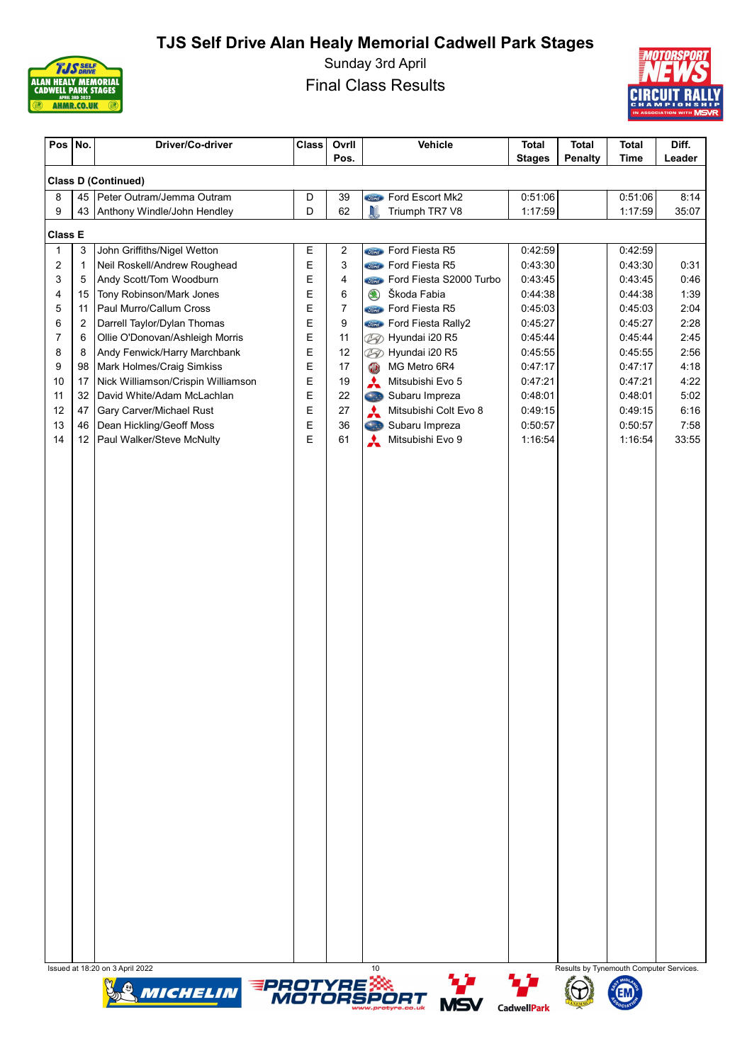

Sunday 3rd April Final Class Results



| Pos            | No.    | Driver/Co-driver                                                | Class  | Ovrll<br>Pos.  | Vehicle                                        | <b>Total</b><br><b>Stages</b> | <b>Total</b><br><b>Penalty</b>          | <b>Total</b><br><b>Time</b> | Diff.<br>Leader |
|----------------|--------|-----------------------------------------------------------------|--------|----------------|------------------------------------------------|-------------------------------|-----------------------------------------|-----------------------------|-----------------|
|                |        | <b>Class D (Continued)</b>                                      |        |                |                                                |                               |                                         |                             |                 |
| 8              | 45     | Peter Outram/Jemma Outram                                       | D      | 39             | Ford Escort Mk2                                | 0:51:06                       |                                         | 0:51:06                     | 8:14            |
| 9              | 43     | Anthony Windle/John Hendley                                     | D      | 62             | J<br>Triumph TR7 V8                            | 1:17:59                       |                                         | 1:17:59                     | 35:07           |
| <b>Class E</b> |        |                                                                 |        |                |                                                |                               |                                         |                             |                 |
| $\mathbf{1}$   | 3      | John Griffiths/Nigel Wetton                                     | Ε      | 2              | <b>Cond</b> Ford Fiesta R5                     | 0:42:59                       |                                         | 0:42:59                     |                 |
| 2              | 1      | Neil Roskell/Andrew Roughead                                    | E      | 3              | <b>Stand</b> Ford Fiesta R5                    | 0:43:30                       |                                         | 0:43:30                     | 0:31            |
| 3              | 5      | Andy Scott/Tom Woodburn                                         | E      | 4              | <b>Ford Fiesta S2000 Turbo</b>                 | 0:43:45                       |                                         | 0:43:45                     | 0:46            |
| 4              | 15     | Tony Robinson/Mark Jones                                        | E      | 6              | Škoda Fabia<br>$\circledast$                   | 0:44:38                       |                                         | 0:44:38                     | 1:39            |
| 5              | 11     | Paul Murro/Callum Cross                                         | E      | $\overline{7}$ | <b>Stand</b> Ford Fiesta R5                    | 0:45:03                       |                                         | 0:45:03                     | 2:04            |
| 6              | 2      | Darrell Taylor/Dylan Thomas                                     | E      | 9              | <b>Since</b> Ford Fiesta Rally2                | 0:45:27                       |                                         | 0:45:27                     | 2:28            |
| 7<br>8         | 6<br>8 | Ollie O'Donovan/Ashleigh Morris<br>Andy Fenwick/Harry Marchbank | E<br>E | 11<br>12       | Hyundai i20 R5<br>Ø<br><b>B</b> Hyundai i20 R5 | 0:45:44<br>0:45:55            |                                         | 0:45:44<br>0:45:55          | 2:45<br>2:56    |
| 9              | 98     | Mark Holmes/Craig Simkiss                                       | E      | 17             | MG Metro 6R4<br>$\circledR$                    | 0:47:17                       |                                         | 0:47:17                     | 4:18            |
| 10             | 17     | Nick Williamson/Crispin Williamson                              | E      | 19             | ⋏<br>Mitsubishi Evo 5                          | 0:47:21                       |                                         | 0:47:21                     | 4:22            |
| 11             | 32     | David White/Adam McLachlan                                      | E      | 22             | Subaru Impreza<br>Cas                          | 0:48:01                       |                                         | 0:48:01                     | 5:02            |
| 12             | 47     | Gary Carver/Michael Rust                                        | E      | 27             | A<br>Mitsubishi Colt Evo 8                     | 0:49:15                       |                                         | 0:49:15                     | 6:16            |
| 13             | 46     | Dean Hickling/Geoff Moss                                        | E      | 36             | Cas<br>Subaru Impreza                          | 0:50:57                       |                                         | 0:50:57                     | 7:58            |
| 14             | 12     | Paul Walker/Steve McNulty                                       | E      | 61             | $\boldsymbol{\star}$<br>Mitsubishi Evo 9       | 1:16:54                       |                                         | 1:16:54                     | 33:55           |
|                |        |                                                                 |        |                |                                                |                               |                                         |                             |                 |
|                |        | Issued at 18:20 on 3 April 2022                                 |        |                | 10                                             |                               | Results by Tynemouth Computer Services. |                             |                 |
|                |        | MICHELIN                                                        |        |                | <b>EPROTYRE ARE</b><br>MOTORSPORT<br>MQ        | مزيد                          |                                         |                             |                 |







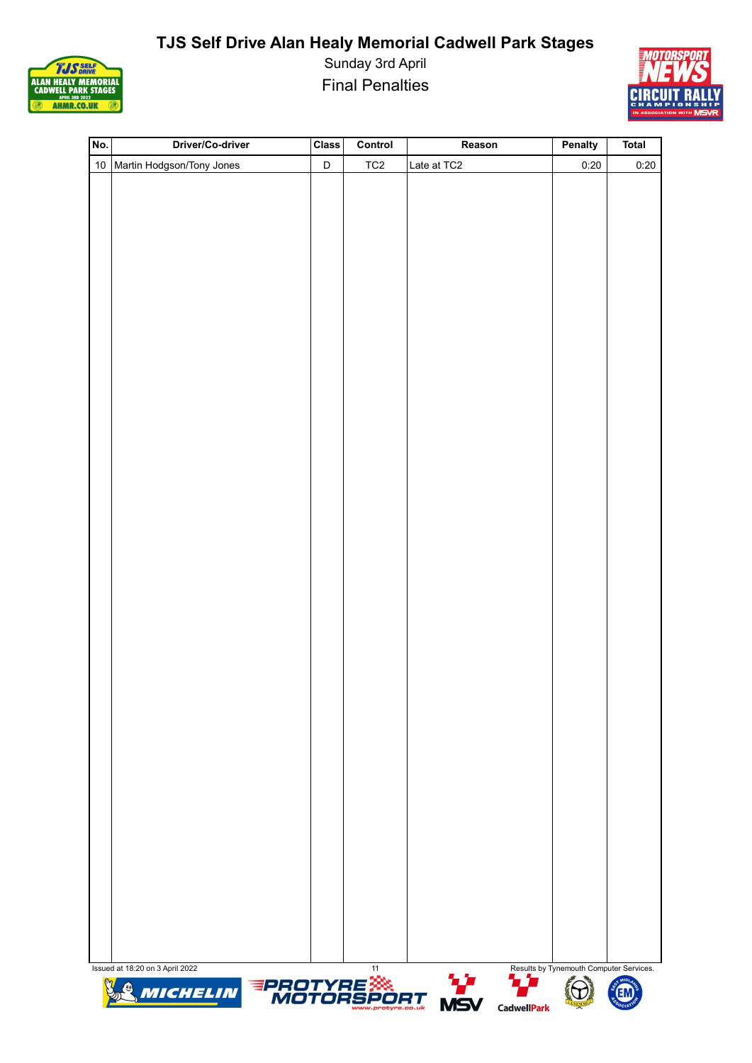

Sunday 3rd April Final Penalties



| No. | Driver/Co-driver                  | <b>Class</b> | Control         | Reason             | Penalty                                 | <b>Total</b> |
|-----|-----------------------------------|--------------|-----------------|--------------------|-----------------------------------------|--------------|
|     | 10 Martin Hodgson/Tony Jones      | $\mathsf D$  | TC <sub>2</sub> | Late at TC2        | 0:20                                    | 0:20         |
|     |                                   |              |                 |                    |                                         |              |
|     |                                   |              |                 |                    |                                         |              |
|     |                                   |              |                 |                    |                                         |              |
|     |                                   |              |                 |                    |                                         |              |
|     |                                   |              |                 |                    |                                         |              |
|     |                                   |              |                 |                    |                                         |              |
|     |                                   |              |                 |                    |                                         |              |
|     |                                   |              |                 |                    |                                         |              |
|     |                                   |              |                 |                    |                                         |              |
|     |                                   |              |                 |                    |                                         |              |
|     |                                   |              |                 |                    |                                         |              |
|     |                                   |              |                 |                    |                                         |              |
|     |                                   |              |                 |                    |                                         |              |
|     |                                   |              |                 |                    |                                         |              |
|     |                                   |              |                 |                    |                                         |              |
|     |                                   |              |                 |                    |                                         |              |
|     |                                   |              |                 |                    |                                         |              |
|     |                                   |              |                 |                    |                                         |              |
|     |                                   |              |                 |                    |                                         |              |
|     |                                   |              |                 |                    |                                         |              |
|     |                                   |              |                 |                    |                                         |              |
|     |                                   |              |                 |                    |                                         |              |
|     |                                   |              |                 |                    |                                         |              |
|     |                                   |              |                 |                    |                                         |              |
|     |                                   |              |                 |                    |                                         |              |
|     |                                   |              |                 |                    |                                         |              |
|     |                                   |              |                 |                    |                                         |              |
|     |                                   |              |                 |                    |                                         |              |
|     |                                   |              |                 |                    |                                         |              |
|     |                                   |              |                 |                    |                                         |              |
|     |                                   |              |                 |                    |                                         |              |
|     |                                   |              |                 |                    |                                         |              |
|     |                                   |              |                 |                    |                                         |              |
|     |                                   |              |                 |                    |                                         |              |
|     |                                   |              |                 |                    |                                         |              |
|     |                                   |              |                 |                    |                                         |              |
|     | Issued at 18:20 on 3 April 2022   |              | 11              | 77<br>7. T         | Results by Tynemouth Computer Services. |              |
|     | <b>EPROTYRE SEART</b><br>Michelin |              |                 | <b>MSV</b>         |                                         |              |
|     |                                   |              | protyre.co.uk   | <b>CadwellPark</b> |                                         |              |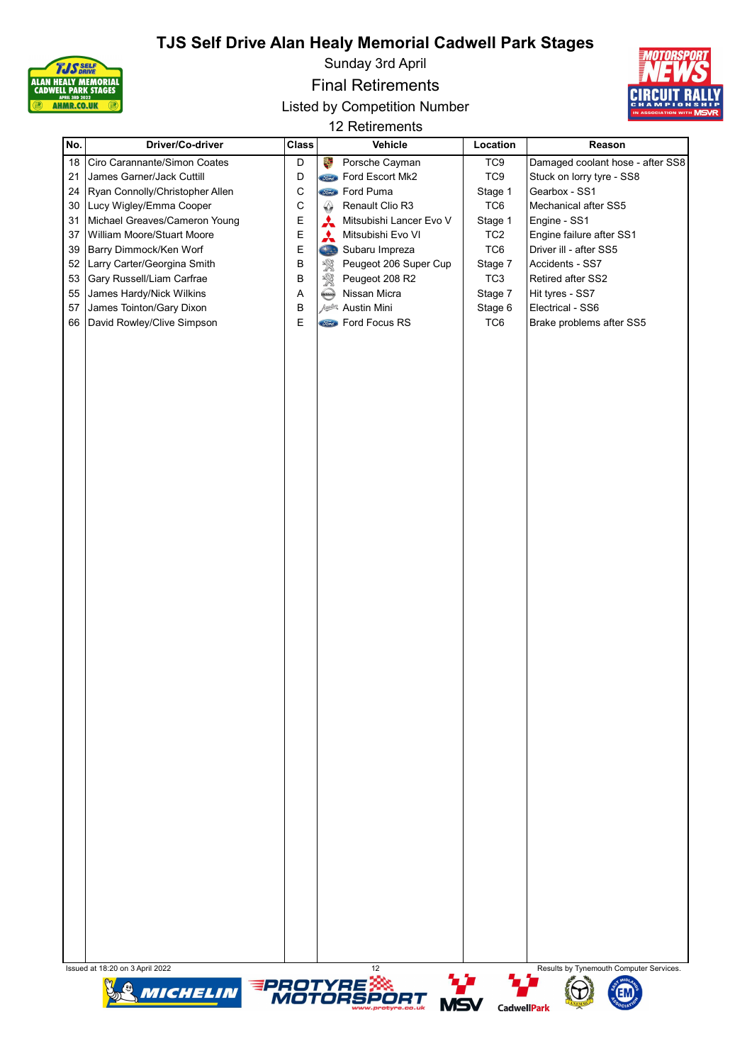

Sunday 3rd April

Final Retirements

Listed by Competition Number



12 Retirements

| No. | Driver/Co-driver                | <b>Class</b> | Vehicle                              | Location        | Reason                                               |
|-----|---------------------------------|--------------|--------------------------------------|-----------------|------------------------------------------------------|
| 18  | Ciro Carannante/Simon Coates    | D            | a.<br>Porsche Cayman                 | TC <sub>9</sub> | Damaged coolant hose - after SS8                     |
| 21  | James Garner/Jack Cuttill       | D            | <b>Stand</b> Ford Escort Mk2         | TC <sub>9</sub> | Stuck on lorry tyre - SS8                            |
| 24  | Ryan Connolly/Christopher Allen | $\mathsf C$  | <b>Sime</b> Ford Puma                | Stage 1         | Gearbox - SS1                                        |
| 30  | Lucy Wigley/Emma Cooper         | C            | ♤<br>Renault Clio R3                 | TC6             | Mechanical after SS5                                 |
| 31  | Michael Greaves/Cameron Young   | E            | Mitsubishi Lancer Evo V              | Stage 1         | Engine - SS1                                         |
| 37  | William Moore/Stuart Moore      | E            | Mitsubishi Evo VI<br>A               | TC <sub>2</sub> | Engine failure after SS1                             |
| 39  | Barry Dimmock/Ken Worf          | E            | Subaru Impreza<br>Sta                | TC6             | Driver ill - after SS5                               |
| 52  | Larry Carter/Georgina Smith     | $\sf B$      | Peugeot 206 Super Cup<br>饕           | Stage 7         | Accidents - SS7                                      |
| 53  | Gary Russell/Liam Carfrae       | B            | 溪<br>Peugeot 208 R2                  | TC <sub>3</sub> | Retired after SS2                                    |
| 55  | James Hardy/Nick Wilkins        | Α            | Nissan Micra<br><b>Kussay</b>        | Stage 7         | Hit tyres - SS7                                      |
| 57  | James Tointon/Gary Dixon        | B            | Austin Mini                          | Stage 6         | Electrical - SS6                                     |
| 66  | David Rowley/Clive Simpson      | E            | <b>Stard</b> Ford Focus RS           | TC6             | Brake problems after SS5                             |
|     |                                 |              |                                      |                 |                                                      |
|     | Issued at 18:20 on 3 April 2022 |              | 12<br><b>AL 4-</b><br><b>ALCOHOL</b> | <b>ALL 4-4</b>  | Results by Tynemouth Computer Services.<br>$48 - 30$ |







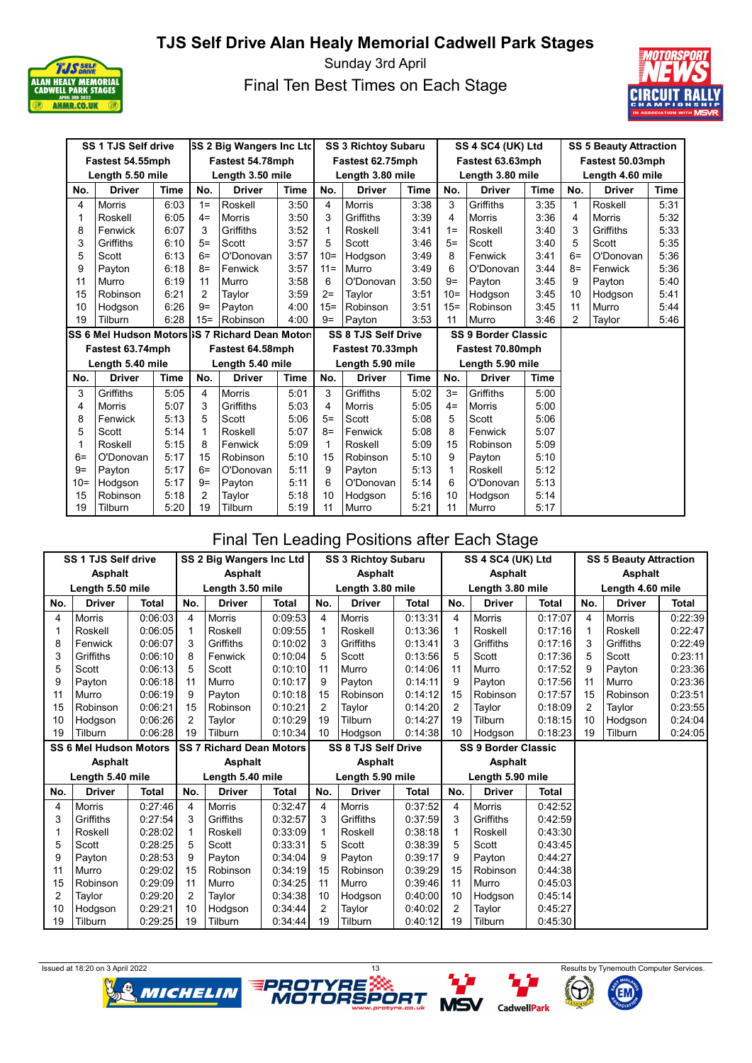

Sunday 3rd April Final Ten Best Times on Each Stage



| SS 1 TJS Self drive<br><b>SS 2 Big Wangers Inc Ltd</b> |                  |             |                |                                                | <b>SS 3 Richtoy Subaru</b> |        |                            | SS 4 SC4 (UK) Ltd |        | <b>SS 5 Beauty Attraction</b> |      |                  |               |             |  |  |
|--------------------------------------------------------|------------------|-------------|----------------|------------------------------------------------|----------------------------|--------|----------------------------|-------------------|--------|-------------------------------|------|------------------|---------------|-------------|--|--|
|                                                        | Fastest 54.55mph |             |                | Fastest 54.78mph                               |                            |        | Fastest 62.75mph           |                   |        | Fastest 63.63mph              |      | Fastest 50.03mph |               |             |  |  |
|                                                        | Length 5.50 mile |             |                | Length 3.50 mile                               |                            |        | Length 3.80 mile           |                   |        | Length 3.80 mile              |      | Length 4.60 mile |               |             |  |  |
| No.                                                    | <b>Driver</b>    | Time        | No.            | <b>Driver</b>                                  | <b>Time</b>                | No.    | <b>Driver</b>              | <b>Time</b>       | No.    | <b>Driver</b>                 | Time | No.              | <b>Driver</b> | <b>Time</b> |  |  |
| 4                                                      | <b>Morris</b>    | 6:03        | $1 =$          | Roskell                                        | 3:50                       | 4      | <b>Morris</b>              | 3:38              | 3      | Griffiths                     | 3:35 | 1                | Roskell       | 5:31        |  |  |
| 1                                                      | Roskell          | 6:05        | $4=$           | Morris                                         | 3:50                       | 3      | Griffiths                  | 3:39              | 4      | <b>Morris</b>                 | 3:36 | 4                | <b>Morris</b> | 5:32        |  |  |
| 8                                                      | Fenwick          | 6:07        | 3              | Griffiths                                      | 3:52                       | 1      | Roskell                    | 3:41              | $1 =$  | Roskell                       | 3:40 | 3                | Griffiths     | 5:33        |  |  |
| 3                                                      | Griffiths        | 6:10        | $5=$           | Scott                                          | 3:57                       | 5      | Scott                      | 3:46              | $5=$   | Scott                         | 3:40 | 5                | Scott         | 5:35        |  |  |
| 5                                                      | Scott            | 6:13        | $6=$           | O'Donovan                                      | 3:57                       | $10=$  | Hodgson                    | 3:49              | 8      | Fenwick                       | 3:41 | $6=$             | O'Donovan     | 5:36        |  |  |
| 9                                                      | Payton           | 6:18        | $8=$           | Fenwick                                        | 3:57                       | $11 =$ | Murro                      | 3:49              | 6      | O'Donovan                     | 3:44 | $8=$             | Fenwick       | 5:36        |  |  |
| 11                                                     | Murro            | 6:19        | 11             | Murro                                          | 3:58                       | 6      | O'Donovan                  | 3:50              | $9=$   | Payton                        | 3:45 | 9                | Payton        | 5:40        |  |  |
| 15                                                     | Robinson         | 6:21        | $\overline{2}$ | Taylor                                         | 3:59                       | $2=$   | Taylor                     | 3:51              | $10=$  | Hodgson                       | 3:45 | 10               | Hodgson       | 5:41        |  |  |
| 10                                                     | Hodgson          | 6:26        | $9=$           | Payton                                         | 4:00                       | $15 =$ | Robinson                   | 3:51              | $15 =$ | Robinson                      | 3:45 | 11               | Murro         | 5:44        |  |  |
| 19                                                     | Tilburn          | 6:28        | $15 =$         | Robinson                                       | 4:00                       | $9=$   | Payton                     | 3:53              | 11     | Murro                         | 3:46 | 2                | Taylor        | 5:46        |  |  |
|                                                        |                  |             |                |                                                |                            |        |                            |                   |        |                               |      |                  |               |             |  |  |
|                                                        |                  |             |                | SS 6 Mel Hudson Motors S 7 Richard Dean Motors |                            |        | <b>SS 8 TJS Self Drive</b> |                   |        | <b>SS 9 Border Classic</b>    |      |                  |               |             |  |  |
|                                                        | Fastest 63.74mph |             |                | Fastest 64.58mph                               |                            |        | Fastest 70.33mph           |                   |        | Fastest 70.80mph              |      |                  |               |             |  |  |
|                                                        | Length 5.40 mile |             |                | Length 5.40 mile                               |                            |        | Length 5.90 mile           |                   |        | Length 5.90 mile              |      |                  |               |             |  |  |
| No.                                                    | <b>Driver</b>    | <b>Time</b> | No.            | <b>Driver</b>                                  | Time                       | No.    | <b>Driver</b>              | Time              | No.    | <b>Driver</b>                 | Time |                  |               |             |  |  |
| 3                                                      | Griffiths        | 5:05        | 4              | <b>Morris</b>                                  | 5:01                       | 3      | Griffiths                  | 5:02              | $3=$   | Griffiths                     | 5:00 |                  |               |             |  |  |
| 4                                                      | Morris           | 5:07        | 3              | Griffiths                                      | 5:03                       | 4      | Morris                     | 5:05              | $4=$   | Morris                        | 5:00 |                  |               |             |  |  |
| 8                                                      | Fenwick          | 5:13        | 5              | Scott                                          | 5:06                       | $5=$   | Scott                      | 5:08              | 5      | Scott                         | 5:06 |                  |               |             |  |  |
| 5                                                      | Scott            | 5:14        | 1              | Roskell                                        | 5:07                       | $8=$   | Fenwick                    | 5:08              | 8      | Fenwick                       | 5:07 |                  |               |             |  |  |
| 1                                                      | Roskell          | 5:15        | 8              | Fenwick                                        | 5:09                       | 1      | Roskell                    | 5:09              | 15     | Robinson                      | 5:09 |                  |               |             |  |  |
| $6=$                                                   | O'Donovan        | 5:17        | 15             | Robinson                                       | 5:10                       | 15     | Robinson                   | 5:10              | 9      | Payton                        | 5:10 |                  |               |             |  |  |
| $9=$                                                   | Payton           | 5:17        | $6=$           | O'Donovan                                      | 5:11                       | 9      | Payton                     | 5:13              | 1      | Roskell                       | 5:12 |                  |               |             |  |  |
| $10=$                                                  | Hodgson          | 5:17        | $9=$           | Payton                                         | 5:11                       | 6      | O'Donovan                  | 5:14              | 6      | O'Donovan                     | 5:13 |                  |               |             |  |  |
| 15                                                     | Robinson         | 5:18        | $\overline{2}$ | Taylor                                         | 5:18                       | 10     | Hodgson                    | 5:16              | 10     | Hodgson                       | 5:14 |                  |               |             |  |  |

# Final Ten Leading Positions after Each Stage

| <b>SS 1 TJS Self drive</b><br>SS 2 Big Wangers Inc Ltd |                               |              |                |                                 |              |                                      | SS 3 Richtoy Subaru        |              |                | SS 4 SC4 (UK) Ltd          |              | <b>SS 5 Beauty Attraction</b> |               |              |  |
|--------------------------------------------------------|-------------------------------|--------------|----------------|---------------------------------|--------------|--------------------------------------|----------------------------|--------------|----------------|----------------------------|--------------|-------------------------------|---------------|--------------|--|
|                                                        | <b>Asphalt</b>                |              |                | <b>Asphalt</b>                  |              |                                      | <b>Asphalt</b>             |              |                | <b>Asphalt</b>             |              | Asphalt                       |               |              |  |
|                                                        | Length 5.50 mile              |              |                | Length 3.50 mile                |              |                                      | Length 3.80 mile           |              |                | Length 3.80 mile           |              | Length 4.60 mile              |               |              |  |
| No.                                                    | <b>Driver</b>                 | <b>Total</b> | No.            | <b>Driver</b>                   | <b>Total</b> | <b>Total</b><br>No.<br><b>Driver</b> |                            |              | No.            | <b>Driver</b>              | <b>Total</b> | No.                           | <b>Driver</b> | <b>Total</b> |  |
| 4                                                      | <b>Morris</b>                 | 0:06:03      | $\overline{4}$ | <b>Morris</b>                   | 0:09:53      | $\overline{4}$                       | Morris                     | 0:13:31      | 4              | <b>Morris</b>              | 0:17:07      | 4                             | Morris        | 0:22:39      |  |
|                                                        | Roskell                       | 0:06:05      | 1              | Roskell                         | 0:09:55      | 1                                    | Roskell                    | 0:13:36      | $\mathbf 1$    | Roskell                    | 0:17:16      | 1                             | Roskell       | 0:22:47      |  |
| 8                                                      | Fenwick                       | 0:06:07      | 3              | Griffiths                       | 0:10:02      | 3                                    | Griffiths                  | 0:13:41      | 3              | Griffiths                  | 0:17:16      | 3                             | Griffiths     | 0:22:49      |  |
| 3                                                      | Griffiths                     | 0:06:10      | 8              | Fenwick                         | 0:10:04      | 5                                    | Scott                      | 0:13:56      | 5              | Scott                      | 0:17:36      | 5                             | Scott         | 0:23:11      |  |
| 5                                                      | Scott                         | 0:06:13      | 5              | Scott                           | 0:10:10      | 11                                   | Murro                      | 0:14:06      | 11             | Murro                      | 0:17:52      | 9                             | Payton        | 0:23:36      |  |
| 9                                                      | Payton                        | 0:06:18      | 11             | Murro                           | 0:10:17      | 9                                    | Payton                     | 0:14:11      | 9              | Payton                     | 0:17:56      | 11                            | Murro         | 0:23:36      |  |
| 11                                                     | Murro                         | 0:06:19      | 9              | Payton                          | 0:10:18      | 15                                   | Robinson                   | 0:14:12      | 15             | Robinson                   | 0:17:57      | 15                            | Robinson      | 0:23:51      |  |
| 15                                                     | Robinson                      | 0:06:21      | 15             | Robinson                        | 0:10:21      | $\overline{2}$                       | Taylor                     | 0:14:20      | $\mathcal{P}$  | Tavlor                     | 0:18:09      | 2                             | Taylor        | 0:23:55      |  |
| 10                                                     | Hodgson                       | 0:06:26      | $\overline{2}$ | Taylor                          | 0:10:29      | 19                                   | Tilburn                    | 0:14:27      | 19             | Tilburn                    | 0:18:15      | 10                            | Hodgson       | 0:24:04      |  |
| 19                                                     | Tilburn                       | 0:06:28      | 19             | Tilburn                         | 0:10:34      | 10                                   | Hodgson                    | 0:14:38      | 10             | Hodgson                    | 0:18:23      | 19                            | Tilburn       | 0:24:05      |  |
|                                                        | <b>SS 6 Mel Hudson Motors</b> |              |                | <b>SS 7 Richard Dean Motors</b> |              |                                      | <b>SS 8 TJS Self Drive</b> |              |                | <b>SS 9 Border Classic</b> |              |                               |               |              |  |
|                                                        | <b>Asphalt</b>                |              |                | <b>Asphalt</b>                  |              |                                      | <b>Asphalt</b>             |              |                | <b>Asphalt</b>             |              |                               |               |              |  |
|                                                        | Length 5.40 mile              |              |                | Length 5.40 mile                |              | Length 5.90 mile                     |                            |              |                | Length 5.90 mile           |              |                               |               |              |  |
| No.                                                    | <b>Driver</b>                 | <b>Total</b> | No.            | <b>Driver</b>                   | <b>Total</b> | No.                                  | <b>Driver</b>              | <b>Total</b> | No.            | <b>Driver</b>              | <b>Total</b> |                               |               |              |  |
| 4                                                      | <b>Morris</b>                 | 0:27:46      | $\overline{4}$ | <b>Morris</b>                   | 0:32:47      | 4                                    | <b>Morris</b>              | 0:37:52      | 4              | <b>Morris</b>              | 0:42:52      |                               |               |              |  |
| 3                                                      | Griffiths                     | 0:27:54      | 3              | Griffiths                       | 0:32:57      | 3                                    | Griffiths                  | 0:37:59      | 3              | Griffiths                  | 0:42:59      |                               |               |              |  |
|                                                        | Roskell                       | 0:28:02      | 1              | Roskell                         | 0:33:09      | 1                                    | Roskell                    | 0:38:18      | $\mathbf 1$    | Roskell                    | 0:43:30      |                               |               |              |  |
| 5                                                      | Scott                         | 0:28:25      | 5              | Scott                           | 0:33:31      | 5                                    | Scott                      | 0:38:39      | 5              | Scott                      | 0:43:45      |                               |               |              |  |
| 9                                                      | Payton                        | 0:28:53      | 9              | Payton                          | 0:34:04      | 9                                    | Payton                     | 0:39:17      | 9              | Payton                     | 0.44:27      |                               |               |              |  |
| 11                                                     | Murro                         | 0:29:02      | 15             | Robinson                        | 0:34:19      | 15                                   | Robinson                   | 0:39:29      | 15             | Robinson                   | 0:44:38      |                               |               |              |  |
| 15                                                     | Robinson                      | 0:29:09      | 11             | Murro                           | 0:34:25      | 11                                   | Murro                      | 0:39:46      | 11             | Murro                      | 0:45:03      |                               |               |              |  |
| 2                                                      | Taylor                        | 0:29:20      | 2              | Taylor                          | 0:34:38      | 10                                   | Hodgson                    | 0:40:00      | 10             | Hodgson                    | 0:45:14      |                               |               |              |  |
| 10                                                     | Hodgson                       | 0:29:21      | 10             | Hodgson                         | 0:34:44      | $\overline{2}$                       | Taylor                     | 0:40:02      | $\overline{2}$ | Taylor                     | 0:45:27      |                               |               |              |  |
| 19                                                     | Tilburn                       | 0:29:25      | 19             | Tilburn                         | 0:34:44      | 19                                   | Tilburn                    | 0:40:12      | 19             | Tilburn                    | 0:45:30      |                               |               |              |  |





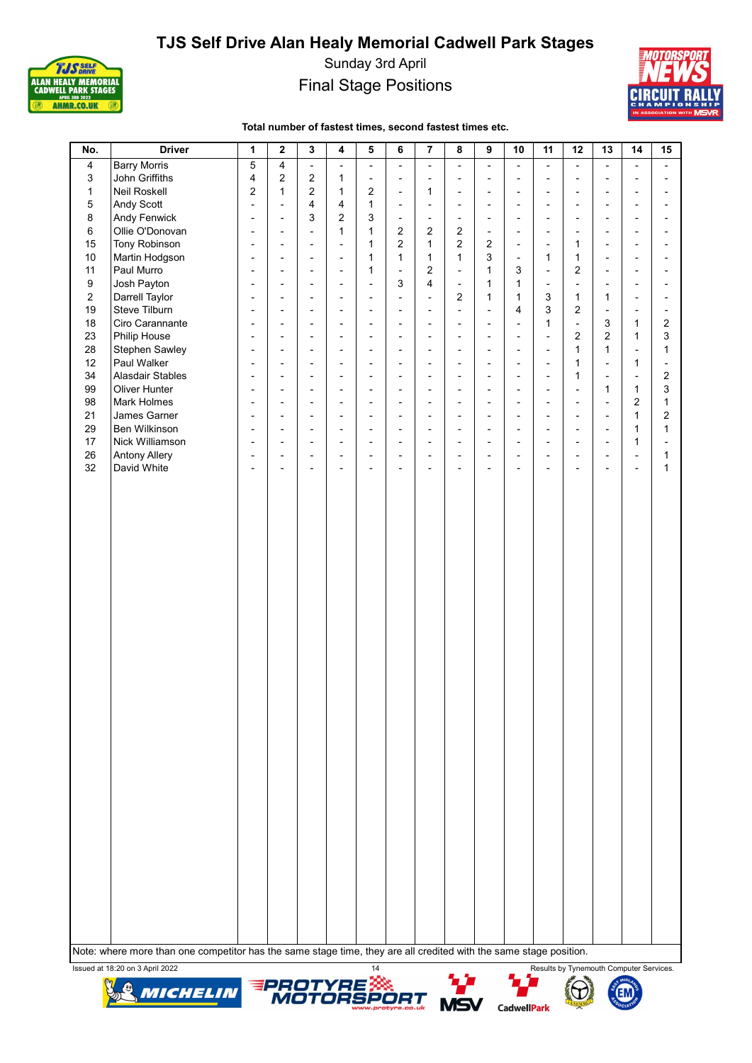

Sunday 3rd April Final Stage Positions



#### Total number of fastest times, second fastest times etc.

| No.            | <b>Driver</b>        | 1                        | $\mathbf{2}$             | 3                        | 4                        | 5                        | 6                            | 7                        | 8                        | 9                        | 10                       | 11                       | 12                           | 13                       | 14                       | 15 |
|----------------|----------------------|--------------------------|--------------------------|--------------------------|--------------------------|--------------------------|------------------------------|--------------------------|--------------------------|--------------------------|--------------------------|--------------------------|------------------------------|--------------------------|--------------------------|----|
| 4              | <b>Barry Morris</b>  | 5                        | 4                        | $\overline{\phantom{a}}$ | $\overline{\phantom{0}}$ | $\blacksquare$           | $\overline{\phantom{0}}$     | $\overline{\phantom{a}}$ | $\overline{\phantom{0}}$ | $\blacksquare$           | $\overline{\phantom{0}}$ | $\overline{\phantom{a}}$ | $\overline{\phantom{a}}$     | $\overline{\phantom{a}}$ | $\overline{\phantom{a}}$ |    |
| 3              | John Griffiths       | $\overline{4}$           | $\overline{2}$           | $\overline{2}$           | 1                        | $\blacksquare$           | $\overline{\phantom{a}}$     | $\blacksquare$           | $\overline{a}$           | $\blacksquare$           | $\overline{a}$           | $\blacksquare$           | $\overline{a}$               | $\overline{a}$           | $\blacksquare$           |    |
| $\mathbf{1}$   | Neil Roskell         | $\overline{c}$           | $\mathbf{1}$             | $\overline{2}$           | 1                        | $\overline{2}$           | $\overline{\phantom{a}}$     | 1                        | $\frac{1}{2}$            | $\blacksquare$           | $\overline{a}$           | $\overline{\phantom{a}}$ | $\overline{\phantom{0}}$     | $\overline{\phantom{a}}$ | $\overline{\phantom{a}}$ |    |
| 5              | Andy Scott           | $\overline{\phantom{a}}$ | $\overline{\phantom{a}}$ | 4                        | 4                        | $\mathbf{1}$             | $\overline{\phantom{a}}$     | $\overline{\phantom{a}}$ | $\overline{\phantom{a}}$ | $\overline{\phantom{a}}$ | $\overline{\phantom{a}}$ | $\overline{\phantom{a}}$ | $\overline{\phantom{a}}$     | $\overline{\phantom{a}}$ | $\overline{\phantom{a}}$ |    |
| 8              | Andy Fenwick         | $\overline{\phantom{a}}$ | $\overline{\phantom{a}}$ | 3                        | 2                        | 3                        | $\overline{\phantom{a}}$     | $\overline{\phantom{a}}$ | $\frac{1}{2}$            | $\overline{\phantom{a}}$ | $\overline{a}$           | $\overline{\phantom{a}}$ | $\frac{1}{2}$                | $\overline{\phantom{a}}$ | $\overline{\phantom{a}}$ |    |
| 6              | Ollie O'Donovan      | $\blacksquare$           | $\blacksquare$           | $\blacksquare$           | 1                        | $\mathbf{1}$             | 2                            | $\overline{2}$           | $\overline{2}$           | $\overline{\phantom{a}}$ | $\overline{a}$           | $\overline{\phantom{a}}$ | $\overline{\phantom{a}}$     | $\overline{\phantom{a}}$ | $\blacksquare$           |    |
| 15             | Tony Robinson        | $\blacksquare$           | $\overline{a}$           | $\overline{\phantom{a}}$ | $\overline{a}$           | $\mathbf{1}$             | $\overline{2}$               | $\mathbf{1}$             | $\overline{2}$           | $\overline{2}$           | $\overline{\phantom{0}}$ | $\blacksquare$           | 1                            | $\blacksquare$           | $\overline{\phantom{a}}$ |    |
| 10             | Martin Hodgson       | $\blacksquare$           | $\blacksquare$           | $\blacksquare$           | $\overline{a}$           | 1                        | $\mathbf{1}$                 | $\mathbf{1}$             | 1                        | 3                        | $\overline{\phantom{a}}$ | 1                        | 1                            | $\overline{\phantom{a}}$ | $\overline{\phantom{a}}$ |    |
| 11             | Paul Murro           | $\overline{a}$           | $\blacksquare$           | $\overline{a}$           | $\overline{a}$           | $\mathbf{1}$             | $\overline{\phantom{0}}$     | 2                        | $\overline{a}$           | $\mathbf{1}$             | 3                        | $\overline{\phantom{a}}$ | $\overline{2}$               | $\overline{a}$           | $\blacksquare$           |    |
| 9              | Josh Payton          | $\overline{\phantom{a}}$ | $\blacksquare$           | $\overline{a}$           | $\overline{\phantom{0}}$ | $\blacksquare$           | 3                            | 4                        | $\overline{\phantom{a}}$ | 1                        | $\mathbf{1}$             | $\overline{\phantom{a}}$ | $\overline{\phantom{a}}$     | $\overline{a}$           | $\overline{a}$           |    |
| $\overline{2}$ | Darrell Taylor       | $\overline{a}$           | $\blacksquare$           | $\overline{a}$           | $\overline{a}$           | $\overline{a}$           | $\overline{a}$               | $\sim$                   | $\overline{2}$           | $\mathbf{1}$             | $\mathbf{1}$             | 3                        | $\mathbf{1}$                 | $\mathbf{1}$             | $\overline{a}$           |    |
| 19             | Steve Tilburn        | $\blacksquare$           | $\blacksquare$           | $\overline{a}$           | $\overline{a}$           | $\overline{\phantom{a}}$ | $\overline{a}$               | $\overline{a}$           | $\overline{a}$           | $\sim$                   | 4                        | 3                        | $\overline{2}$               | $\sim$                   | $\overline{\phantom{a}}$ |    |
| 18             | Ciro Carannante      | $\overline{a}$           | $\blacksquare$           | $\blacksquare$           | $\overline{a}$           | $\overline{a}$           | $\overline{a}$               | $\overline{\phantom{a}}$ | $\overline{\phantom{a}}$ | $\overline{a}$           | $\overline{a}$           | $\mathbf{1}$             | $\frac{1}{2}$                | 3                        | $\mathbf{1}$             | 2  |
| 23             | Philip House         | $\overline{a}$           | $\blacksquare$           | $\overline{a}$           | $\overline{\phantom{0}}$ | $\overline{a}$           | $\overline{a}$               | $\overline{a}$           | $\overline{a}$           | $\overline{a}$           | $\overline{a}$           | $\blacksquare$           | $\overline{2}$               | $\overline{2}$           | $\mathbf{1}$             | 3  |
| 28             | Stephen Sawley       | $\overline{a}$           | $\overline{a}$           | $\overline{a}$           | $\overline{a}$           | $\overline{a}$           | $\overline{a}$               | $\overline{a}$           | $\overline{a}$           | $\overline{a}$           | $\overline{a}$           | $\overline{\phantom{a}}$ | $\mathbf{1}$                 | $\mathbf{1}$             | $\overline{a}$           | 1  |
| 12             | Paul Walker          | $\blacksquare$           | $\overline{\phantom{0}}$ | $\overline{\phantom{a}}$ | L,                       | $\overline{\phantom{a}}$ | $\overline{\phantom{a}}$     | $\overline{a}$           | $\overline{a}$           | $\overline{\phantom{a}}$ | $\overline{a}$           | $\overline{\phantom{a}}$ | 1                            | $\overline{a}$           | $\mathbf{1}$             |    |
| 34             | Alasdair Stables     | $\overline{\phantom{a}}$ | $\overline{a}$           | $\overline{\phantom{a}}$ | $\overline{a}$           | $\overline{a}$           | $\overline{\phantom{0}}$     | $\overline{a}$           | $\overline{a}$           | $\blacksquare$           | $\overline{a}$           | $\overline{\phantom{a}}$ | 1                            | $\blacksquare$           | $\overline{\phantom{a}}$ | 2  |
| 99             | <b>Oliver Hunter</b> | $\blacksquare$           | $\overline{a}$           | $\overline{a}$           | $\overline{a}$           | $\overline{a}$           | $\overline{\phantom{0}}$     | $\overline{a}$           | $\overline{a}$           | $\blacksquare$           | $\overline{a}$           | $\overline{\phantom{a}}$ | ÷,                           | $\mathbf{1}$             | $\mathbf{1}$             | 3  |
| 98             | Mark Holmes          | $\blacksquare$           | $\overline{\phantom{a}}$ | $\overline{\phantom{a}}$ | $\overline{\phantom{0}}$ | $\blacksquare$           | $\overline{\phantom{0}}$     | $\overline{\phantom{a}}$ | $\overline{a}$           | $\blacksquare$           | $\overline{a}$           | $\overline{\phantom{a}}$ | $\overline{a}$               | $\blacksquare$           | $\overline{2}$           | 1  |
| 21             | James Garner         | $\blacksquare$           | $\overline{\phantom{a}}$ | $\overline{\phantom{a}}$ | L,                       | $\blacksquare$           | $\overline{\phantom{a}}$     | $\overline{\phantom{a}}$ | $\overline{a}$           | $\blacksquare$           | $\overline{a}$           | $\overline{\phantom{a}}$ | $\overline{a}$               | $\blacksquare$           | $\mathbf{1}$             | 2  |
| 29             | Ben Wilkinson        | $\blacksquare$           | $\overline{\phantom{0}}$ | $\overline{\phantom{a}}$ | L,                       | $\overline{\phantom{a}}$ | $\overline{\phantom{0}}$     | $\overline{\phantom{a}}$ | $\overline{a}$           | $\overline{\phantom{a}}$ | $\overline{a}$           | $\overline{\phantom{a}}$ | $\overline{\phantom{0}}$     | $\blacksquare$           | $\mathbf{1}$             | 1  |
| 17             | Nick Williamson      | $\overline{\phantom{a}}$ | $\overline{\phantom{a}}$ | $\overline{\phantom{a}}$ | $\overline{a}$           | $\overline{a}$           | $\qquad \qquad \blacksquare$ | $\overline{a}$           | $\frac{1}{2}$            | Ĭ.                       | $\overline{a}$           | Ĭ.                       | $\qquad \qquad \blacksquare$ | $\blacksquare$           | $\mathbf{1}$             |    |
| 26             | <b>Antony Allery</b> | ÷,                       | $\overline{\phantom{a}}$ | $\overline{\phantom{a}}$ | $\overline{a}$           | $\overline{\phantom{a}}$ | $\overline{a}$               | $\blacksquare$           | $\frac{1}{2}$            | Ĭ.                       | $\overline{a}$           | Ĭ.                       | $\qquad \qquad \blacksquare$ | $\overline{\phantom{a}}$ | $\overline{\phantom{a}}$ | 1  |
| 32             | David White          | Ĭ.                       | $\overline{\phantom{0}}$ | Ĭ.                       | $\overline{a}$           | $\overline{\phantom{a}}$ | L,                           | $\overline{\phantom{0}}$ | $\overline{a}$           | Ĭ.                       | $\overline{a}$           | Ĭ.                       | $\overline{\phantom{0}}$     | $\overline{\phantom{a}}$ | ä,                       | 1  |
|                |                      |                          |                          |                          |                          |                          |                              |                          |                          |                          |                          |                          |                              |                          |                          |    |
|                |                      |                          |                          |                          |                          |                          |                              |                          |                          |                          |                          |                          |                              |                          |                          |    |
|                |                      |                          |                          |                          |                          |                          |                              |                          |                          |                          |                          |                          |                              |                          |                          |    |
|                |                      |                          |                          |                          |                          |                          |                              |                          |                          |                          |                          |                          |                              |                          |                          |    |
|                |                      |                          |                          |                          |                          |                          |                              |                          |                          |                          |                          |                          |                              |                          |                          |    |
|                |                      |                          |                          |                          |                          |                          |                              |                          |                          |                          |                          |                          |                              |                          |                          |    |
|                |                      |                          |                          |                          |                          |                          |                              |                          |                          |                          |                          |                          |                              |                          |                          |    |
|                |                      |                          |                          |                          |                          |                          |                              |                          |                          |                          |                          |                          |                              |                          |                          |    |
|                |                      |                          |                          |                          |                          |                          |                              |                          |                          |                          |                          |                          |                              |                          |                          |    |
|                |                      |                          |                          |                          |                          |                          |                              |                          |                          |                          |                          |                          |                              |                          |                          |    |
|                |                      |                          |                          |                          |                          |                          |                              |                          |                          |                          |                          |                          |                              |                          |                          |    |
|                |                      |                          |                          |                          |                          |                          |                              |                          |                          |                          |                          |                          |                              |                          |                          |    |
|                |                      |                          |                          |                          |                          |                          |                              |                          |                          |                          |                          |                          |                              |                          |                          |    |
|                |                      |                          |                          |                          |                          |                          |                              |                          |                          |                          |                          |                          |                              |                          |                          |    |
|                |                      |                          |                          |                          |                          |                          |                              |                          |                          |                          |                          |                          |                              |                          |                          |    |
|                |                      |                          |                          |                          |                          |                          |                              |                          |                          |                          |                          |                          |                              |                          |                          |    |
|                |                      |                          |                          |                          |                          |                          |                              |                          |                          |                          |                          |                          |                              |                          |                          |    |
|                |                      |                          |                          |                          |                          |                          |                              |                          |                          |                          |                          |                          |                              |                          |                          |    |
|                |                      |                          |                          |                          |                          |                          |                              |                          |                          |                          |                          |                          |                              |                          |                          |    |
|                |                      |                          |                          |                          |                          |                          |                              |                          |                          |                          |                          |                          |                              |                          |                          |    |
|                |                      |                          |                          |                          |                          |                          |                              |                          |                          |                          |                          |                          |                              |                          |                          |    |
|                |                      |                          |                          |                          |                          |                          |                              |                          |                          |                          |                          |                          |                              |                          |                          |    |
|                |                      |                          |                          |                          |                          |                          |                              |                          |                          |                          |                          |                          |                              |                          |                          |    |
|                |                      |                          |                          |                          |                          |                          |                              |                          |                          |                          |                          |                          |                              |                          |                          |    |
|                |                      |                          |                          |                          |                          |                          |                              |                          |                          |                          |                          |                          |                              |                          |                          |    |
|                |                      |                          |                          |                          |                          |                          |                              |                          |                          |                          |                          |                          |                              |                          |                          |    |
|                |                      |                          |                          |                          |                          |                          |                              |                          |                          |                          |                          |                          |                              |                          |                          |    |
|                |                      |                          |                          |                          |                          |                          |                              |                          |                          |                          |                          |                          |                              |                          |                          |    |
|                |                      |                          |                          |                          |                          |                          |                              |                          |                          |                          |                          |                          |                              |                          |                          |    |
|                |                      |                          |                          |                          |                          |                          |                              |                          |                          |                          |                          |                          |                              |                          |                          |    |
|                |                      |                          |                          |                          |                          |                          |                              |                          |                          |                          |                          |                          |                              |                          |                          |    |
|                |                      |                          |                          |                          |                          |                          |                              |                          |                          |                          |                          |                          |                              |                          |                          |    |
|                |                      |                          |                          |                          |                          |                          |                              |                          |                          |                          |                          |                          |                              |                          |                          |    |
|                |                      |                          |                          |                          |                          |                          |                              |                          |                          |                          |                          |                          |                              |                          |                          |    |
|                |                      |                          |                          |                          |                          |                          |                              |                          |                          |                          |                          |                          |                              |                          |                          |    |
|                |                      |                          |                          |                          |                          |                          |                              |                          |                          |                          |                          |                          |                              |                          |                          |    |
|                |                      |                          |                          |                          |                          |                          |                              |                          |                          |                          |                          |                          |                              |                          |                          |    |

Note: where more than one competitor has the same stage time, they are all credited with the same stage position.

Issued at 18:20 on 3 April 2022 20 and 2022 14 Results by Tynemouth Computer Services.









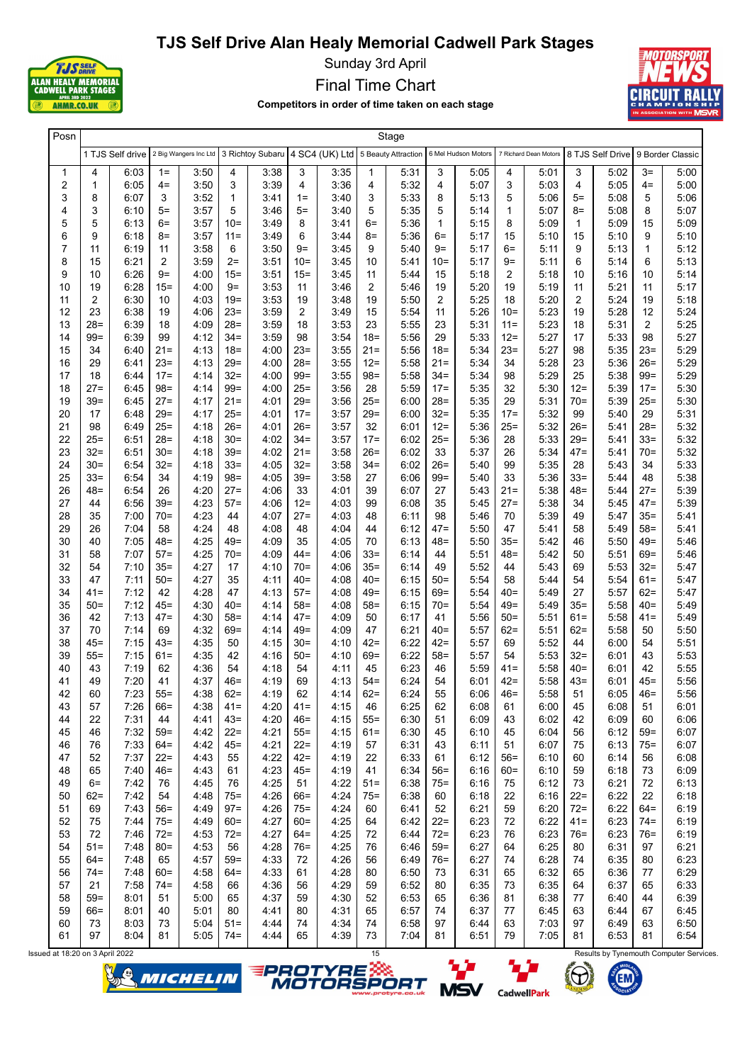

Sunday 3rd April

Final Time Chart

Competitors in order of time taken on each stage



| Posn           | Stage          |                  |                 |                                                                           |                 |              |                  |              |                  |              |                   |                     |                   |                       |                |                                   |                  |              |
|----------------|----------------|------------------|-----------------|---------------------------------------------------------------------------|-----------------|--------------|------------------|--------------|------------------|--------------|-------------------|---------------------|-------------------|-----------------------|----------------|-----------------------------------|------------------|--------------|
|                |                | 1 TJS Self drive |                 | 2 Big Wangers Inc Ltd 3 Richtoy Subaru 4 SC4 (UK) Ltd 5 Beauty Attraction |                 |              |                  |              |                  |              |                   | 6 Mel Hudson Motors |                   | 7 Richard Dean Motors |                | 8 TJS Self Drive 9 Border Classic |                  |              |
| 1              | 4              | 6:03             | $1 =$           | 3:50                                                                      | 4               | 3:38         | 3                | 3:35         | 1                | 5:31         | 3                 | 5:05                | 4                 | 5:01                  | 3              | 5:02                              | $3=$             | 5:00         |
| 2              | $\mathbf 1$    | 6:05             | $4=$            | 3:50                                                                      | 3               | 3:39         | 4                | 3:36         | 4                | 5:32         | 4                 | 5:07                | 3                 | 5:03                  | $\overline{4}$ | 5:05                              | $4=$             | 5:00         |
| 3              | 8              | 6:07             | 3               | 3:52                                                                      | 1               | 3:41         | $1 =$            | 3:40         | 3                | 5:33         | 8                 | 5:13                | 5                 | 5:06                  | $5=$           | 5:08                              | 5                | 5:06         |
| 4<br>5         | 3<br>5         | 6:10<br>6:13     | $5=$<br>6=      | 3:57<br>3:57                                                              | 5<br>$10 =$     | 3:46<br>3:49 | $5=$<br>8        | 3:40<br>3:41 | 5<br>$6=$        | 5:35<br>5:36 | 5<br>$\mathbf{1}$ | 5:14<br>5:15        | $\mathbf{1}$<br>8 | 5:07<br>5:09          | $8=$<br>1      | 5:08<br>5:09                      | 8<br>15          | 5:07<br>5:09 |
| 6              | 9              | 6:18             | $8=$            | 3:57                                                                      | $11 =$          | 3:49         | 6                | 3:44         | $8=$             | 5:36         | $6=$              | 5:17                | 15                | 5:10                  | 15             | 5:10                              | 9                | 5:10         |
| $\overline{7}$ | 11             | 6:19             | 11              | 3:58                                                                      | 6               | 3:50         | $9 =$            | 3.45         | 9                | 5:40         | $9=$              | 5:17                | $6=$              | 5:11                  | 9              | 5:13                              | 1                | 5:12         |
| 8              | 15             | 6:21             | 2               | 3:59                                                                      | $2=$            | 3:51         | $10 =$           | 3.45         | 10               | 5:41         | $10 =$            | 5:17                | 9=                | 5:11                  | 6              | 5:14                              | 6                | 5:13         |
| 9              | 10             | 6:26             | $9 =$           | 4:00                                                                      | 15=             | 3:51         | 15=              | 3:45         | 11               | 5:44         | 15                | 5:18                | 2                 | 5:18                  | 10             | 5:16                              | 10               | 5:14         |
| 10             | 19             | 6:28             | $15 =$          | 4:00                                                                      | $9 =$           | 3:53         | 11               | 3:46         | 2                | 5:46         | 19                | 5:20                | 19                | 5:19                  | 11             | 5:21                              | 11               | 5:17         |
| 11             | $\overline{2}$ | 6:30             | 10              | 4:03                                                                      | 19=             | 3:53         | 19               | 3:48         | 19               | 5:50         | 2                 | 5:25                | 18                | 5:20                  | 2              | 5:24                              | 19               | 5:18         |
| 12             | 23             | 6:38             | 19              | 4:06                                                                      | $23=$           | 3:59         | 2                | 3:49         | 15               | 5:54         | 11                | 5:26                | $10=$             | 5:23                  | 19             | 5:28                              | 12               | 5:24         |
| 13             | $28 =$         | 6:39             | 18              | 4:09                                                                      | $28=$           | 3:59         | 18               | 3:53         | 23               | 5:55         | 23                | 5:31                | $11 =$            | 5:23                  | 18             | 5:31                              | 2                | 5:25         |
| 14             | $99 =$         | 6:39             | 99              | 4:12                                                                      | $34 =$          | 3:59         | 98               | 3:54         | $18 =$           | 5:56         | 29                | 5:33                | $12 =$            | 5:27                  | 17             | 5:33                              | 98               | 5:27         |
| 15             | 34             | 6:40             | $21 =$          | 4:13                                                                      | $18 =$          | 4:00         | $23=$            | 3:55         | 21=              | 5:56         | $18 =$            | 5:34                | 23=               | 5:27                  | 98             | 5:35                              | $23=$            | 5:29         |
| 16<br>17       | 29<br>18       | 6:41<br>6:44     | $23=$<br>$17 =$ | 4:13<br>4:14                                                              | $29=$<br>$32 =$ | 4:00<br>4:00 | $28=$<br>$99 =$  | 3:55<br>3:55 | $12 =$<br>$98 =$ | 5:58<br>5:58 | $21 =$<br>$34 =$  | 5:34<br>5:34        | 34<br>98          | 5:28<br>5:29          | 23<br>25       | 5:36<br>5:38                      | $26=$<br>$99 =$  | 5:29<br>5:29 |
| 18             | $27 =$         | 6:45             | $98 =$          | 4:14                                                                      | $99 =$          | 4:00         | $25 =$           | 3:56         | 28               | 5:59         | $17 =$            | 5:35                | 32                | 5:30                  | $12 =$         | 5:39                              | $17 =$           | 5:30         |
| 19             | 39=            | 6:45             | $27 =$          | 4:17                                                                      | $21 =$          | 4:01         | $29 =$           | 3:56         | $25 =$           | 6:00         | $28=$             | 5:35                | 29                | 5:31                  | $70 =$         | 5:39                              | $25 =$           | 5:30         |
| 20             | 17             | 6:48             | $29=$           | 4:17                                                                      | $25=$           | 4:01         | $17 =$           | 3:57         | $29=$            | 6:00         | $32 =$            | 5:35                | $17 =$            | 5:32                  | 99             | 5:40                              | 29               | 5:31         |
| 21             | 98             | 6:49             | $25 =$          | 4:18                                                                      | $26=$           | 4:01         | $26=$            | 3:57         | 32               | 6:01         | $12 =$            | 5:36                | $25 =$            | 5:32                  | 26=            | 5:41                              | $28 =$           | 5:32         |
| 22             | 25=            | 6:51             | $28 =$          | 4:18                                                                      | $30=$           | 4:02         | $34 =$           | 3:57         | $17 =$           | 6:02         | $25 =$            | 5:36                | 28                | 5:33                  | $29 =$         | 5:41                              | $33=$            | 5:32         |
| 23             | $32 =$         | 6:51             | $30=$           | 4:18                                                                      | $39=$           | 4:02         | $21 =$           | 3:58         | $26=$            | 6:02         | 33                | 5:37                | 26                | 5:34                  | 47=            | 5:41                              | $70=$            | 5:32         |
| 24             | 30=            | 6:54             | 32=             | 4:18                                                                      | $33=$           | 4:05         | $32 =$           | 3:58         | 34=              | 6:02         | $26=$             | 5:40                | 99                | 5:35                  | 28             | 5:43                              | 34               | 5:33         |
| 25             | 33=            | 6:54             | 34              | 4:19                                                                      | $98 =$          | 4:05         | $39=$            | 3:58         | 27               | 6:06         | $99 =$            | 5:40                | 33                | 5:36                  | $33=$          | 5:44                              | 48               | 5:38         |
| 26             | 48=            | 6:54             | 26              | 4:20                                                                      | $27 =$          | 4:06         | 33               | 4:01         | 39               | 6:07         | 27                | 5:43                | 21=               | 5:38                  | $48 =$         | 5:44                              | $27 =$           | 5:39         |
| 27<br>28       | 44<br>35       | 6:56<br>7:00     | $39=$<br>$70 =$ | 4:23<br>4:23                                                              | $57 =$<br>44    | 4:06<br>4:07 | $12 =$<br>$27 =$ | 4:03<br>4:03 | 99<br>48         | 6:08<br>6:11 | 35<br>98          | 5:45<br>5:46        | $27 =$<br>70      | 5:38<br>5:39          | 34<br>49       | 5:45<br>5:47                      | $47 =$<br>$35 =$ | 5:39<br>5:41 |
| 29             | 26             | 7:04             | 58              | 4:24                                                                      | 48              | 4:08         | 48               | 4:04         | 44               | 6:12         | $47 =$            | 5:50                | 47                | 5:41                  | 58             | 5:49                              | $58 =$           | 5:41         |
| 30             | 40             | 7:05             | $48 =$          | 4:25                                                                      | 49=             | 4:09         | 35               | 4:05         | 70               | 6:13         | 48=               | 5:50                | $35 =$            | 5:42                  | 46             | 5:50                              | $49 =$           | 5:46         |
| 31             | 58             | 7:07             | $57 =$          | 4:25                                                                      | $70 =$          | 4:09         | $44 =$           | 4:06         | $33=$            | 6:14         | 44                | 5:51                | 48=               | 5:42                  | 50             | 5:51                              | $69 =$           | 5:46         |
| 32             | 54             | 7:10             | $35=$           | 4:27                                                                      | 17              | 4:10         | $70=$            | 4:06         | $35=$            | 6:14         | 49                | 5:52                | 44                | 5:43                  | 69             | 5:53                              | $32 =$           | 5:47         |
| 33             | 47             | 7:11             | $50=$           | 4:27                                                                      | 35              | 4:11         | $40=$            | 4:08         | $40=$            | 6:15         | $50=$             | 5:54                | 58                | 5:44                  | 54             | 5:54                              | $61 =$           | 5:47         |
| 34             | 41=            | 7:12             | 42              | 4:28                                                                      | 47              | 4:13         | $57=$            | 4:08         | 49=              | 6:15         | 69=               | 5:54                | 40=               | 5:49                  | 27             | 5:57                              | $62 =$           | 5:47         |
| 35             | 50=            | 7:12             | $45 =$          | 4:30                                                                      | $40 =$          | 4:14         | $58 =$           | 4:08         | $58 =$           | 6:15         | $70 =$            | 5:54                | 49=               | 5:49                  | $35=$          | 5:58                              | $40=$            | 5:49         |
| 36             | 42             | 7:13             | $47 =$          | 4:30                                                                      | $58 =$          | 4:14         | $47 =$           | 4:09         | 50               | 6:17         | 41                | 5:56                | $50=$             | 5:51                  | 61=            | 5:58                              | $41 =$           | 5:49         |
| 37             | 70<br>45=      | 7:14             | 69<br>$43=$     | 4:32                                                                      | 69=             | 4:14         | $49 =$           | 4:09<br>4:10 | 47<br>$42 =$     | 6:21         | $40=$<br>$42 =$   | 5:57                | 62=               | 5:51                  | 62=            | 5:58                              | 50               | 5:50         |
| 38<br>39       | 55=            | 7:15<br>7:15     | $61 =$          | 4:35<br>4:35                                                              | 50<br>42        | 4:15<br>4:16 | $30=$<br>$50=$   | 4:10         | 69=              | 6:22<br>6:22 | $58 =$            | 5:57<br>5:57        | 69<br>54          | 5:52<br>5:53          | 44<br>32=      | 6:00<br>6:01                      | 54<br>43         | 5:51<br>5:53 |
| 40             | 43             | 7:19             | 62              | 4:36                                                                      | 54              | 4:18         | 54               | 4:11         | 45               | 6:23         | 46                | 5:59                | 41=               | 5:58                  | 40=            | 6:01                              | 42               | 5:55         |
| 41             | 49             | 7:20             | 41              | 4:37                                                                      | $46=$           | 4:19         | 69               | 4:13         | $54 =$           | 6:24         | 54                | 6:01                | $42 =$            | 5:58                  | $43=$          | 6:01                              | $45 =$           | 5:56         |
| 42             | 60             | 7:23             | $55=$           | 4:38                                                                      | $62 =$          | 4:19         | 62               | 4:14         | $62 =$           | 6:24         | 55                | 6:06                | $46=$             | 5:58                  | 51             | 6:05                              | $46 =$           | 5:56         |
| 43             | 57             | 7:26             | $66 =$          | 4:38                                                                      | $41 =$          | 4:20         | $41 =$           | 4:15         | 46               | 6:25         | 62                | 6:08                | 61                | 6:00                  | 45             | 6:08                              | 51               | 6:01         |
| 44             | 22             | 7:31             | 44              | 4:41                                                                      | $43=$           | 4:20         | $46=$            | 4:15         | $55 =$           | 6:30         | 51                | 6:09                | 43                | 6:02                  | 42             | 6:09                              | 60               | 6:06         |
| 45             | 46             | 7:32             | $59=$           | 4:42                                                                      | $22 =$          | 4:21         | $55 =$           | 4:15         | $61 =$           | 6:30         | 45                | 6:10                | 45                | 6:04                  | 56             | 6:12                              | $59=$            | 6:07         |
| 46             | 76             | 7:33             | $64 =$          | 4:42                                                                      | $45 =$          | 4:21         | $22 =$           | 4:19         | 57               | 6:31         | 43                | 6:11                | 51                | 6:07                  | 75             | 6:13                              | 75=              | 6:07         |
| 47<br>48       | 52<br>65       | 7:37<br>7:40     | $22 =$<br>$46=$ | 4:43<br>4:43                                                              | 55<br>61        | 4:22<br>4:23 | $42 =$<br>$45 =$ | 4:19<br>4:19 | 22<br>41         | 6:33<br>6:34 | 61<br>$56=$       | 6:12<br>6:16        | $56=$<br>$60 =$   | 6:10<br>6:10          | 60<br>59       | 6:14<br>6:18                      | 56<br>73         | 6:08<br>6:09 |
| 49             | $6=$           | 7:42             | 76              | 4:45                                                                      | 76              | 4:25         | 51               | 4:22         | 51=              | 6:38         | $75 =$            | 6:16                | 75                | 6:12                  | 73             | 6:21                              | 72               | 6:13         |
| 50             | $62 =$         | 7:42             | 54              | 4:48                                                                      | $75 =$          | 4:26         | $66 =$           | 4:24         | $75 =$           | 6:38         | 60                | 6:18                | 22                | 6:16                  | $22 =$         | 6:22                              | 22               | 6:18         |
| 51             | 69             | 7:43             | $56=$           | 4:49                                                                      | $97 =$          | 4:26         | $75 =$           | 4:24         | 60               | 6:41         | 52                | 6:21                | 59                | 6:20                  | $72 =$         | 6:22                              | $64 =$           | 6:19         |
| 52             | 75             | 7:44             | $75 =$          | 4:49                                                                      | $60 =$          | 4:27         | $60 =$           | 4:25         | 64               | 6:42         | $22 =$            | 6:23                | 72                | 6:22                  | 41=            | 6:23                              | $74 =$           | 6:19         |
| 53             | 72             | 7:46             | $72 =$          | 4:53                                                                      | $72 =$          | 4:27         | $64 =$           | 4:25         | 72               | 6:44         | $72 =$            | 6:23                | 76                | 6:23                  | $76 =$         | 6:23                              | $76=$            | 6:19         |
| 54             | 51=            | 7:48             | $80 =$          | 4:53                                                                      | 56              | 4:28         | $76 =$           | 4:25         | 76               | 6:46         | $59=$             | 6:27                | 64                | 6:25                  | 80             | 6:31                              | 97               | 6:21         |
| 55             | 64=            | 7:48             | 65              | 4:57                                                                      | $59=$           | 4:33         | 72               | 4:26         | 56               | 6:49         | $76 =$            | 6:27                | 74                | 6:28                  | 74             | 6:35                              | 80               | 6:23         |
| 56             | 74=            | 7:48             | $60 =$          | 4:58                                                                      | 64=             | 4:33         | 61               | 4:28         | 80               | 6:50         | 73                | 6:31                | 65                | 6:32                  | 65             | 6:36                              | 77               | 6:29         |
| 57             | 21             | 7:58             | $74 =$          | 4:58                                                                      | 66              | 4:36         | 56               | 4:29         | 59               | 6:52         | 80                | 6:35                | 73                | 6:35                  | 64             | 6:37                              | 65               | 6:33         |
| 58             | 59=            | 8:01             | 51              | 5:00                                                                      | 65              | 4:37         | 59               | 4:30         | 52               | 6:53         | 65                | 6:36                | 81                | 6:38                  | 77             | 6:40                              | 44               | 6:39         |
| 59<br>60       | 66=<br>73      | 8:01<br>8:03     | 40<br>73        | 5:01<br>5:04                                                              | 80<br>$51 =$    | 4:41<br>4:44 | 80<br>74         | 4:31<br>4:34 | 65<br>74         | 6:57<br>6:58 | 74<br>97          | 6:37<br>6:44        | 77<br>63          | 6:45<br>7:03          | 63<br>97       | 6:44<br>6:49                      | 67<br>63         | 6:45<br>6:50 |
| 61             | 97             | 8:04             | 81              | 5:05                                                                      | $74 =$          | 4.44         | 65               | 4:39         | 73               | 7:04         | 81                | 6:51                | 79                | 7:05                  | 81             | 6:53                              | 81               | 6:54         |
|                |                |                  |                 |                                                                           |                 |              |                  |              |                  |              |                   |                     |                   |                       |                |                                   |                  |              |







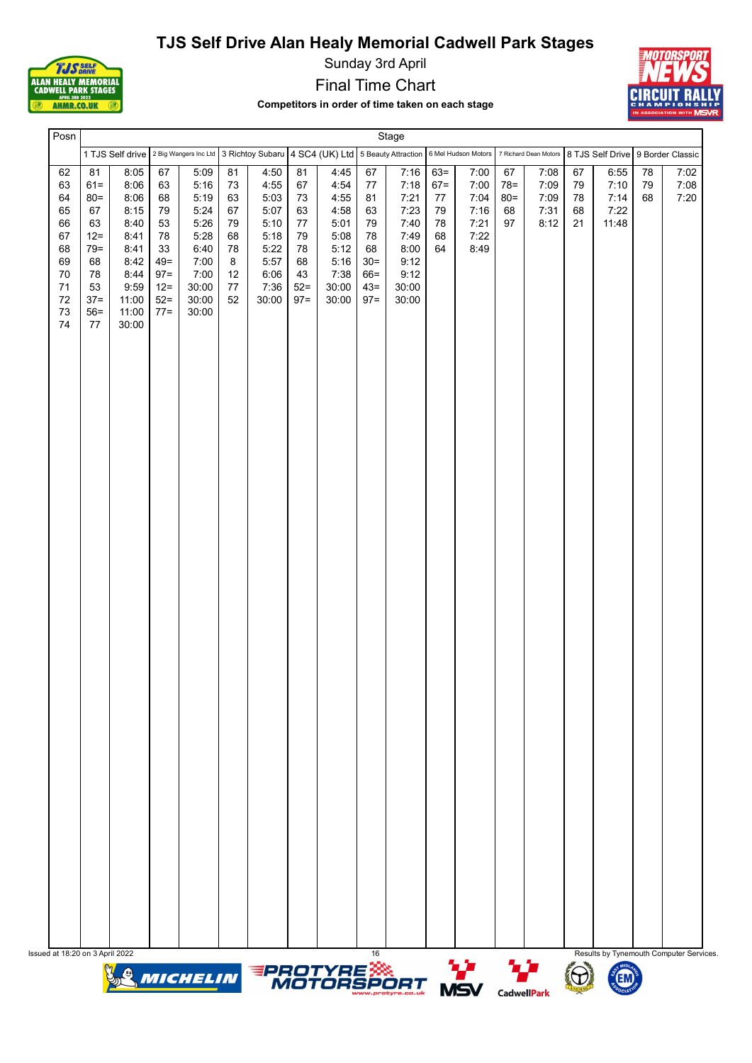



Sunday 3rd April

Final Time Chart

Competitors in order of time taken on each stage



| Posn                                                                         |                                                                                                   |                                                                                                         |                                                                                          |                                                                                                                |                                                               |                                                                                       |                                                                            |                                                                                        |                                                                              | Stage                                                                                  |                                                |                                                      |                                    |                                      |                            |                                                         |                |                      |
|------------------------------------------------------------------------------|---------------------------------------------------------------------------------------------------|---------------------------------------------------------------------------------------------------------|------------------------------------------------------------------------------------------|----------------------------------------------------------------------------------------------------------------|---------------------------------------------------------------|---------------------------------------------------------------------------------------|----------------------------------------------------------------------------|----------------------------------------------------------------------------------------|------------------------------------------------------------------------------|----------------------------------------------------------------------------------------|------------------------------------------------|------------------------------------------------------|------------------------------------|--------------------------------------|----------------------------|---------------------------------------------------------|----------------|----------------------|
|                                                                              |                                                                                                   |                                                                                                         |                                                                                          | 1 TJS Self drive 2 Big Wangers Inc Ltd 3 Richtoy Subaru 4 SC4 (UK) Ltd 5 Beauty Attraction 6 Mel Hudson Motors |                                                               |                                                                                       |                                                                            |                                                                                        |                                                                              |                                                                                        |                                                |                                                      |                                    |                                      |                            | 7 Richard Dean Motors 8 TJS Self Drive 9 Border Classic |                |                      |
| 62<br>63<br>64<br>65<br>66<br>67<br>68<br>69<br>70<br>$71$<br>72<br>73<br>74 | 81<br>$61 =$<br>$80 =$<br>67<br>63<br>$12 =$<br>$79 =$<br>68<br>78<br>53<br>$37 =$<br>$56=$<br>77 | 8:05<br>8:06<br>8:06<br>8:15<br>8:40<br>8:41<br>8:41<br>8:42<br>8:44<br>9:59<br>11:00<br>11:00<br>30:00 | 67<br>63<br>68<br>79<br>53<br>78<br>33<br>$49 =$<br>$97 =$<br>$12 =$<br>$52 =$<br>$77 =$ | 5:09<br>5:16<br>5:19<br>5:24<br>5:26<br>5:28<br>6:40<br>7:00<br>7:00<br>30:00<br>30:00<br>30:00                | 81<br>73<br>63<br>67<br>79<br>68<br>78<br>8<br>12<br>77<br>52 | 4:50<br>4:55<br>5:03<br>5:07<br>5:10<br>5:18<br>5:22<br>5:57<br>6:06<br>7:36<br>30:00 | 81<br>67<br>$73\,$<br>63<br>77<br>79<br>78<br>68<br>43<br>$52 =$<br>$97 =$ | 4:45<br>4:54<br>4:55<br>4:58<br>5:01<br>5:08<br>5:12<br>5:16<br>7:38<br>30:00<br>30:00 | 67<br>77<br>81<br>63<br>79<br>78<br>68<br>$30=$<br>$66 =$<br>$43=$<br>$97 =$ | 7:16<br>7:18<br>7:21<br>7:23<br>7:40<br>7:49<br>8:00<br>9:12<br>9:12<br>30:00<br>30:00 | $63 =$<br>$67 =$<br>77<br>79<br>78<br>68<br>64 | 7:00<br>7:00<br>7:04<br>7:16<br>7:21<br>7:22<br>8:49 | 67<br>$78 =$<br>$80 =$<br>68<br>97 | 7:08<br>7:09<br>7:09<br>7:31<br>8:12 | 67<br>79<br>78<br>68<br>21 | 6:55<br>7:10<br>7:14<br>7:22<br>11:48                   | 78<br>79<br>68 | 7:02<br>7:08<br>7:20 |
|                                                                              |                                                                                                   |                                                                                                         |                                                                                          |                                                                                                                |                                                               |                                                                                       |                                                                            |                                                                                        |                                                                              |                                                                                        |                                                |                                                      |                                    |                                      |                            |                                                         |                |                      |
|                                                                              |                                                                                                   |                                                                                                         |                                                                                          |                                                                                                                |                                                               |                                                                                       |                                                                            |                                                                                        |                                                                              |                                                                                        |                                                |                                                      |                                    |                                      |                            |                                                         |                |                      |
|                                                                              |                                                                                                   |                                                                                                         |                                                                                          |                                                                                                                |                                                               |                                                                                       |                                                                            |                                                                                        |                                                                              |                                                                                        |                                                |                                                      |                                    |                                      |                            |                                                         |                |                      |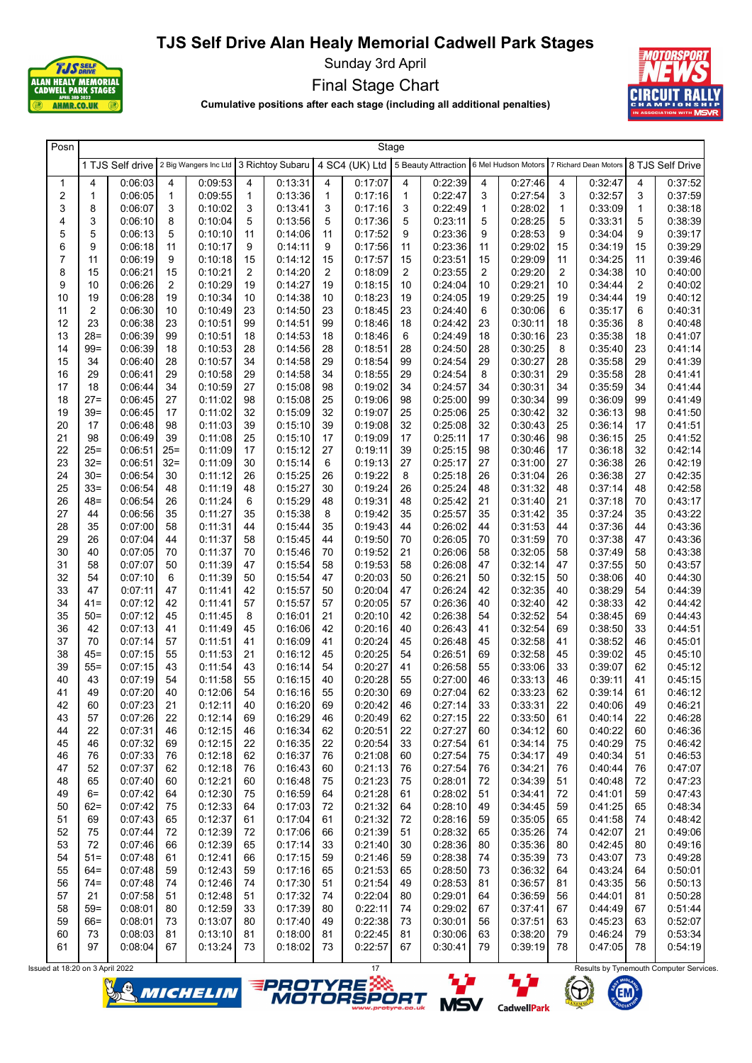

Sunday 3rd April

Final Stage Chart



Cumulative positions after each stage (including all additional penalties)

| Posn                    |                 |                    |              |                                                         |                |                    | Stage        |                    |              |                    |          |                                                                                               |                |                    |              |                    |
|-------------------------|-----------------|--------------------|--------------|---------------------------------------------------------|----------------|--------------------|--------------|--------------------|--------------|--------------------|----------|-----------------------------------------------------------------------------------------------|----------------|--------------------|--------------|--------------------|
|                         |                 |                    |              | 1 TJS Self drive 2 Big Wangers Inc Ltd 3 Richtoy Subaru |                |                    |              |                    |              |                    |          | 4 SC4 (UK) Ltd 5 Beauty Attraction 6 Mel Hudson Motors 7 Richard Dean Motors 8 TJS Self Drive |                |                    |              |                    |
| 1                       | 4               | 0:06:03            | 4            | 0:09:53                                                 | 4              | 0:13:31            | 4            | 0:17:07            | 4            | 0:22:39            | 4        | 0:27:46                                                                                       | 4              | 0:32:47            | 4            | 0.37:52            |
| $\overline{\mathbf{c}}$ | 1               | 0:06:05            | $\mathbf{1}$ | 0:09:55                                                 | 1              | 0:13:36            | $\mathbf{1}$ | 0:17:16            | $\mathbf{1}$ | 0:22:47            | 3        | 0:27:54                                                                                       | 3              | 0:32:57            | 3            | 0:37:59            |
| 3                       | 8               | 0:06:07            | 3            | 0:10:02                                                 | 3              | 0:13:41            | 3            | 0:17:16            | 3            | 0:22:49            | 1        | 0:28:02                                                                                       | $\mathbf{1}$   | 0:33:09            | $\mathbf{1}$ | 0.38.18            |
| 4                       | 3               | 0:06:10            | 8            | 0:10:04                                                 | 5              | 0:13:56<br>0:14:06 | 5            | 0:17:36            | 5            | 0:23:11            | 5        | 0:28:25                                                                                       | 5              | 0:33:31            | 5            | 0:38:39            |
| 5<br>6                  | 5<br>9          | 0:06:13<br>0:06:18 | 5<br>11      | 0:10:10<br>0:10:17                                      | 11<br>9        | 0:14:11            | 11<br>9      | 0:17:52<br>0:17:56 | 9<br>11      | 0:23:36<br>0:23:36 | 9<br>11  | 0:28:53<br>0:29:02                                                                            | 9<br>15        | 0.34:04<br>0:34:19 | 9<br>15      | 0:39:17<br>0:39:29 |
| 7                       | 11              | 0:06:19            | 9            | 0:10:18                                                 | 15             | 0:14:12            | 15           | 0:17:57            | 15           | 0:23:51            | 15       | 0:29:09                                                                                       | 11             | 0:34:25            | 11           | 0:39:46            |
| 8                       | 15              | 0:06:21            | 15           | 0:10:21                                                 | $\overline{2}$ | 0:14:20            | 2            | 0:18:09            | 2            | 0:23:55            | 2        | 0:29:20                                                                                       | $\overline{c}$ | 0:34:38            | 10           | 0.40.00            |
| 9                       | 10              | 0:06:26            | 2            | 0:10:29                                                 | 19             | 0:14:27            | 19           | 0:18:15            | 10           | 0:24:04            | 10       | 0:29:21                                                                                       | 10             | 0.34.44            | 2            | 0.40.02            |
| 10                      | 19              | 0:06:28            | 19           | 0:10:34                                                 | 10             | 0:14:38            | 10           | 0:18:23            | 19           | 0:24:05            | 19       | 0:29:25                                                                                       | 19             | 0.34.44            | 19           | 0:40:12            |
| 11                      | 2               | 0:06:30            | 10           | 0:10:49                                                 | 23             | 0:14:50            | 23           | 0:18:45            | 23           | 0:24:40            | 6        | 0:30:06                                                                                       | 6              | 0:35:17            | 6            | 0:40:31            |
| 12                      | 23              | 0:06:38            | 23           | 0:10:51                                                 | 99             | 0:14:51            | 99           | 0:18:46            | 18           | 0:24:42            | 23       | 0:30:11                                                                                       | 18             | 0:35:36            | 8            | 0:40:48            |
| 13                      | $28 =$          | 0:06:39            | 99           | 0:10:51                                                 | 18             | 0:14:53            | 18           | 0:18:46            | 6            | 0:24:49            | 18       | 0:30:16                                                                                       | 23             | 0:35:38            | 18           | 0.41.07            |
| 14                      | $99 =$          | 0:06:39            | 18           | 0:10:53                                                 | 28             | 0:14:56            | 28           | 0:18:51            | 28           | 0:24:50            | 28       | 0:30:25                                                                                       | 8              | 0:35:40            | 23           | 0.41.14            |
| 15                      | 34              | 0:06:40            | 28           | 0:10:57                                                 | 34             | 0:14:58            | 29           | 0:18:54            | 99           | 0:24:54            | 29       | 0:30:27                                                                                       | 28             | 0:35:58            | 29           | 0:41:39            |
| 16                      | 29              | 0:06:41            | 29           | 0:10:58                                                 | 29             | 0:14:58            | 34           | 0:18:55            | 29           | 0:24:54            | 8        | 0:30:31                                                                                       | 29             | 0:35:58            | 28           | 0.41.41            |
| 17                      | 18              | 0:06:44            | 34           | 0:10:59                                                 | 27             | 0:15:08            | 98           | 0:19:02            | 34           | 0:24:57            | 34       | 0:30:31                                                                                       | 34             | 0:35:59            | 34           | 0.41.44            |
| 18<br>19                | $27 =$<br>$39=$ | 0:06:45<br>0:06:45 | 27<br>17     | 0:11:02<br>0:11:02                                      | 98<br>32       | 0.15.08<br>0:15:09 | 25<br>32     | 0:19:06<br>0:19:07 | 98<br>25     | 0:25:00<br>0:25:06 | 99<br>25 | 0:30:34<br>0:30:42                                                                            | 99<br>32       | 0:36:09<br>0:36:13 | 99<br>98     | 0:41:49<br>0.41:50 |
| 20                      | 17              | 0:06:48            | 98           | 0:11:03                                                 | 39             | 0:15:10            | 39           | 0:19:08            | 32           | 0:25:08            | 32       | 0:30:43                                                                                       | 25             | 0:36:14            | 17           | 0.41:51            |
| 21                      | 98              | 0:06:49            | 39           | 0:11:08                                                 | 25             | 0:15:10            | 17           | 0:19:09            | 17           | 0:25:11            | 17       | 0:30:46                                                                                       | 98             | 0:36:15            | 25           | 0:41:52            |
| 22                      | $25 =$          | 0:06:51            | $25=$        | 0:11:09                                                 | 17             | 0:15:12            | 27           | 0:19:11            | 39           | 0:25:15            | 98       | 0:30:46                                                                                       | 17             | 0:36:18            | 32           | 0.42:14            |
| 23                      | $32 =$          | 0:06:51            | $32 =$       | 0:11:09                                                 | 30             | 0:15:14            | 6            | 0:19:13            | 27           | 0:25:17            | 27       | 0:31:00                                                                                       | 27             | 0:36:38            | 26           | 0.42:19            |
| 24                      | $30=$           | 0:06:54            | 30           | 0:11:12                                                 | 26             | 0:15:25            | 26           | 0:19:22            | 8            | 0:25:18            | 26       | 0:31:04                                                                                       | 26             | 0:36:38            | 27           | 0.42:35            |
| 25                      | $33=$           | 0:06:54            | 48           | 0:11:19                                                 | 48             | 0:15:27            | 30           | 0:19:24            | 26           | 0:25:24            | 48       | 0:31:32                                                                                       | 48             | 0:37:14            | 48           | 0.42:58            |
| 26                      | 48=             | 0:06:54            | 26           | 0:11:24                                                 | 6              | 0:15:29            | 48           | 0:19:31            | 48           | 0:25:42            | 21       | 0:31:40                                                                                       | 21             | 0:37:18            | 70           | 0.43.17            |
| 27                      | 44              | 0:06:56            | 35           | 0:11:27                                                 | 35             | 0:15:38            | 8            | 0:19:42            | 35           | 0:25:57            | 35       | 0:31:42                                                                                       | 35             | 0:37:24            | 35           | 0:43:22            |
| 28                      | 35              | 0:07:00            | 58           | 0:11:31                                                 | 44             | 0:15:44            | 35           | 0:19:43            | 44           | 0:26:02            | 44       | 0:31:53                                                                                       | 44             | 0:37:36            | 44           | 0:43:36            |
| 29                      | 26              | 0:07:04            | 44           | 0:11:37                                                 | 58             | 0:15:45            | 44           | 0:19:50            | 70           | 0:26:05            | 70       | 0:31:59                                                                                       | 70             | 0:37:38            | 47           | 0:43:36            |
| 30                      | 40              | 0:07:05            | 70           | 0:11:37                                                 | 70             | 0:15:46            | 70           | 0:19:52            | 21           | 0:26:06            | 58       | 0:32:05                                                                                       | 58             | 0:37:49            | 58           | 0:43:38            |
| 31<br>32                | 58<br>54        | 0:07:07<br>0:07:10 | 50<br>6      | 0:11:39<br>0:11:39                                      | 47<br>50       | 0:15:54<br>0:15:54 | 58<br>47     | 0:19:53<br>0:20:03 | 58<br>50     | 0:26:08<br>0:26:21 | 47<br>50 | 0:32:14<br>0:32:15                                                                            | 47<br>50       | 0:37:55<br>0:38:06 | 50<br>40     | 0:43:57<br>0.44.30 |
| 33                      | 47              | 0:07:11            | 47           | 0:11:41                                                 | 42             | 0:15.57            | 50           | 0:20:04            | 47           | 0:26:24            | 42       | 0:32:35                                                                                       | 40             | 0:38:29            | 54           | 0:44:39            |
| 34                      | $41 =$          | 0:07:12            | 42           | 0:11:41                                                 | 57             | 0:15:57            | 57           | 0:20:05            | 57           | 0:26:36            | 40       | 0:32:40                                                                                       | 42             | 0:38:33            | 42           | 0:44:42            |
| 35                      | $50=$           | 0:07:12            | 45           | 0:11:45                                                 | 8              | 0:16:01            | 21           | 0:20:10            | 42           | 0:26:38            | 54       | 0:32:52                                                                                       | 54             | 0:38:45            | 69           | 0:44:43            |
| 36                      | 42              | 0:07:13            | 41           | 0:11:49                                                 | 45             | 0:16:06            | 42           | 0:20:16            | 40           | 0:26:43            | 41       | 0:32:54                                                                                       | 69             | 0:38:50            | 33           | 0.44.51            |
| 37                      | 70              | 0:07:14            | 57           | 0:11:51                                                 | 41             | 0:16:09            | 41           | 0:20:24            | 45           | 0:26:48            | 45       | 0:32:58                                                                                       | 41             | 0:38:52            | 46           | 0:45:01            |
| 38                      | $45 =$          | 0:07:15            | 55           | 0:11:53                                                 | 21             | 0:16:12            | 45           | 0:20:25            | 54           | 0:26:51            | 69       | 0:32:58                                                                                       | 45             | 0:39:02            | 45           | 0.45.10            |
| 39                      | $55 =$          | 0:07:15            | 43           | 0:11:54                                                 | 43             | 0:16:14            | 54           | 0:20:27            | 41           | 0:26:58            | 55       | 0:33:06                                                                                       | 33             | 0:39:07            | 62           | 0.45.12            |
| 40                      | 43              | 0:07:19            | 54           | 0:11:58                                                 | 55             | 0:16:15            | 40           | 0:20:28            | 55           | 0:27:00            | 46       | 0:33:13                                                                                       | 46             | 0:39:11            | 41           | 0.45.15            |
| 41                      | 49              | 0:07:20            | 40           | 0:12:06                                                 | 54             | 0:16:16            | 55           | 0:20:30            | 69           | 0:27:04            | 62       | 0:33:23                                                                                       | 62             | 0:39:14            | 61           | 0:46:12            |
| 42                      | 60              | 0:07:23            | 21           | 0:12:11                                                 | 40             | 0:16:20            | 69           | 0:20:42            | 46           | 0:27:14            | 33       | 0:33:31                                                                                       | 22             | 0:40:06            | 49           | 0:46:21            |
| 43                      | 57              | 0:07:26            | 22           | 0:12:14                                                 | 69             | 0:16:29            | 46           | 0:20:49            | 62           | 0:27:15<br>0:27:27 | 22       | 0:33:50                                                                                       | 61             | 0:40:14            | 22           | 0:46:28            |
| 44<br>45                | 22<br>46        | 0.07:31<br>0:07:32 | 46<br>69     | 0:12:15<br>0:12:15                                      | 46<br>22       | 0:16:34<br>0:16:35 | 62<br>22     | 0:20:51<br>0:20:54 | 22<br>33     | 0:27:54            | 60<br>61 | 0:34:12<br>0.34.14                                                                            | 60<br>75       | 0.40.22<br>0:40:29 | 60<br>75     | 0:46:36<br>0:46:42 |
| 46                      | 76              | 0:07:33            | 76           | 0:12:18                                                 | 62             | 0:16:37            | 76           | 0:21:08            | 60           | 0:27:54            | 75       | 0:34:17                                                                                       | 49             | 0:40:34            | 51           | 0:46:53            |
| 47                      | 52              | 0:07:37            | 62           | 0:12:18                                                 | 76             | 0:16:43            | 60           | 0:21:13            | 76           | 0:27:54            | 76       | 0:34:21                                                                                       | 76             | 0.40.44            | 76           | 0:47:07            |
| 48                      | 65              | 0:07:40            | 60           | 0:12:21                                                 | 60             | 0:16:48            | 75           | 0:21:23            | 75           | 0:28:01            | 72       | 0:34:39                                                                                       | 51             | 0:40:48            | 72           | 0.47:23            |
| 49                      | $6=$            | 0:07:42            | 64           | 0:12:30                                                 | 75             | 0.16:59            | 64           | 0:21:28            | 61           | 0:28:02            | 51       | 0:34:41                                                                                       | 72             | 0.41:01            | 59           | 0:47:43            |
| 50                      | $62 =$          | 0:07:42            | 75           | 0:12:33                                                 | 64             | 0.17:03            | 72           | 0:21:32            | 64           | 0:28:10            | 49       | 0:34:45                                                                                       | 59             | 0:41:25            | 65           | 0:48:34            |
| 51                      | 69              | 0:07:43            | 65           | 0:12:37                                                 | 61             | 0:17:04            | 61           | 0:21:32            | 72           | 0:28:16            | 59       | 0:35:05                                                                                       | 65             | 0:41:58            | 74           | 0:48:42            |
| 52                      | 75              | 0:07:44            | 72           | 0:12:39                                                 | 72             | 0:17:06            | 66           | 0:21:39            | 51           | 0:28:32            | 65       | 0:35:26                                                                                       | 74             | 0:42:07            | 21           | 0:49:06            |
| 53                      | 72              | 0:07:46            | 66           | 0:12:39                                                 | 65             | 0:17:14            | 33           | 0:21:40            | 30           | 0:28:36            | 80       | 0:35:36                                                                                       | 80             | 0.42:45            | 80           | 0.49.16            |
| 54                      | $51 =$          | 0:07:48            | 61           | 0:12:41                                                 | 66             | 0:17:15            | 59           | 0:21:46            | 59           | 0:28:38            | 74       | 0:35:39                                                                                       | 73             | 0:43:07            | 73           | 0:49:28            |
| 55                      | $64 =$          | 0:07:48            | 59           | 0:12:43                                                 | 59             | 0:17:16            | 65           | 0:21:53            | 65           | 0:28:50            | 73       | 0:36:32                                                                                       | 64             | 0:43:24            | 64           | 0:50:01            |
| 56<br>57                | 74=<br>21       | 0:07:48<br>0:07:58 | 74<br>51     | 0:12:46<br>0:12:48                                      | 74<br>51       | 0.17:30<br>0:17:32 | 51<br>74     | 0:21:54<br>0:22:04 | 49<br>80     | 0:28:53<br>0:29:01 | 81<br>64 | 0:36:57<br>0:36:59                                                                            | 81<br>56       | 0:43:35<br>0.44.01 | 56<br>81     | 0:50:13<br>0.50.28 |
| 58                      | $59 =$          | 0.08:01            | 80           | 0:12:59                                                 | 33             | 0:17:39            | 80           | 0:22:11            | 74           | 0:29:02            | 67       | 0:37:41                                                                                       | 67             | 0.44.49            | 67           | 0:51:44            |
| 59                      | 66=             | 0:08:01            | 73           | 0:13:07                                                 | 80             | 0.17:40            | 49           | 0:22:38            | 73           | 0:30:01            | 56       | 0:37:51                                                                                       | 63             | 0.45:23            | 63           | 0.52:07            |
| 60                      | 73              | 0:08:03            | 81           | 0:13:10                                                 | 81             | 0:18:00            | 81           | 0:22:45            | 81           | 0:30:06            | 63       | 0:38:20                                                                                       | 79             | 0.46.24            | 79           | 0:53:34            |
| 61                      | 97              | 0:08:04            | 67           | 0:13:24                                                 | 73             | 0:18:02            | 73           | 0:22:57            | 67           | 0:30:41            | 79       | 0:39:19                                                                                       | 78             | 0:47:05            | 78           | 0.54.19            |
|                         |                 |                    |              |                                                         |                |                    |              |                    |              |                    |          |                                                                                               |                |                    |              |                    |









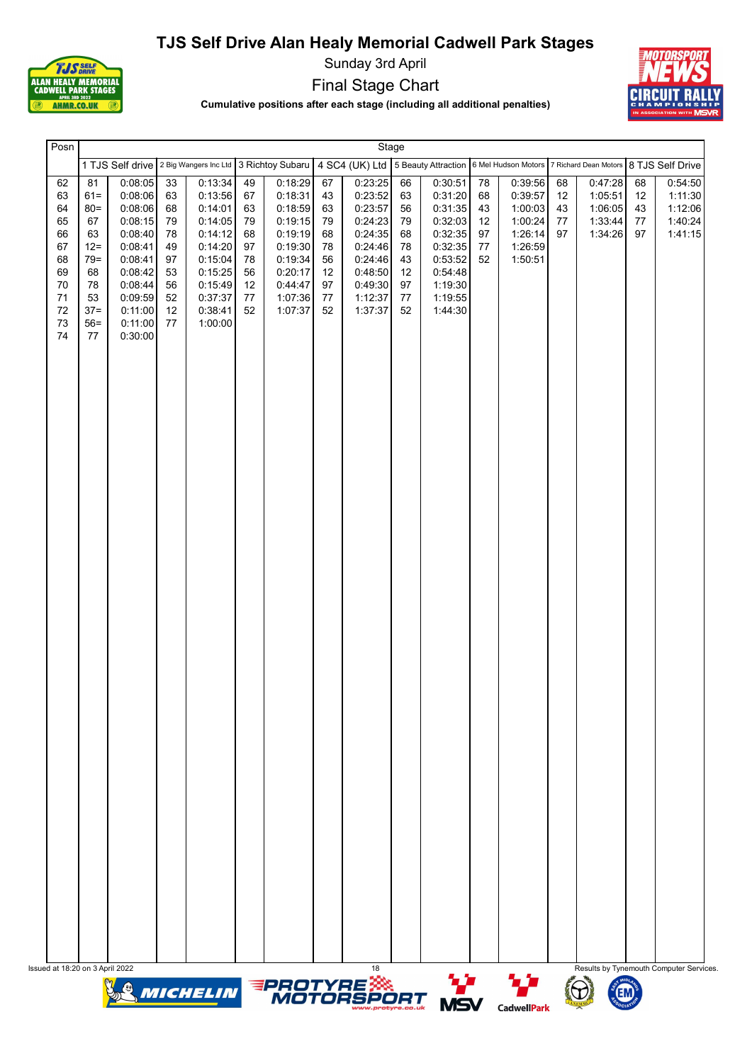

Sunday 3rd April

Final Stage Chart



Cumulative positions after each stage (including all additional penalties)

| Posn                                                                                                                                                                              |                                                                                                                                             |                                                                      |                                                                                                                                  |                                                                |                                                                                                                       |                                                                | Stage                                                                                                                 |                                                                |                                                                                                                       |                                        |                                                                                                                                                       |                            |                                                     |                            |                                                     |
|-----------------------------------------------------------------------------------------------------------------------------------------------------------------------------------|---------------------------------------------------------------------------------------------------------------------------------------------|----------------------------------------------------------------------|----------------------------------------------------------------------------------------------------------------------------------|----------------------------------------------------------------|-----------------------------------------------------------------------------------------------------------------------|----------------------------------------------------------------|-----------------------------------------------------------------------------------------------------------------------|----------------------------------------------------------------|-----------------------------------------------------------------------------------------------------------------------|----------------------------------------|-------------------------------------------------------------------------------------------------------------------------------------------------------|----------------------------|-----------------------------------------------------|----------------------------|-----------------------------------------------------|
|                                                                                                                                                                                   |                                                                                                                                             |                                                                      |                                                                                                                                  |                                                                |                                                                                                                       |                                                                |                                                                                                                       |                                                                |                                                                                                                       |                                        | 1 TJS Self drive 2 Big Wangers Inc Ltd 3 Richtoy Subaru 4 SC4 (UK) Ltd 5 Beauty Attraction 6 Mel Hudson Motors 7 Richard Dean Motors 8 TJS Self Drive |                            |                                                     |                            |                                                     |
| 62<br>81<br>63<br>$61 =$<br>64<br>$80 =$<br>65<br>67<br>66<br>63<br>67<br>$12 =$<br>68<br>$79 =$<br>69<br>68<br>70<br>78<br>$71$<br>53<br>72<br>$37 =$<br>73<br>$56=$<br>74<br>77 | 0:08:05<br>0:08:06<br>0.08:06<br>0:08:15<br>0:08:40<br>0:08:41<br>0:08:41<br>0:08:42<br>0.08:44<br>0:09:59<br>0:11:00<br>0:11:00<br>0:30:00 | 33<br>63<br>68<br>79<br>78<br>49<br>97<br>53<br>56<br>52<br>12<br>77 | 0:13:34<br>0:13:56<br>0:14:01<br>0:14:05<br>0:14:12<br>0:14:20<br>0:15:04<br>0:15:25<br>0:15:49<br>0:37:37<br>0:38:41<br>1:00:00 | 49<br>67<br>63<br>79<br>68<br>97<br>78<br>56<br>12<br>77<br>52 | 0:18:29<br>0:18:31<br>0:18:59<br>0:19:15<br>0:19:19<br>0:19:30<br>0:19:34<br>0:20:17<br>0:44:47<br>1:07:36<br>1:07:37 | 67<br>43<br>63<br>79<br>68<br>78<br>56<br>12<br>97<br>77<br>52 | 0:23:25<br>0:23:52<br>0:23:57<br>0:24:23<br>0:24:35<br>0:24:46<br>0:24:46<br>0:48:50<br>0:49:30<br>1:12:37<br>1:37:37 | 66<br>63<br>56<br>79<br>68<br>78<br>43<br>12<br>97<br>77<br>52 | 0:30:51<br>0:31:20<br>0:31:35<br>0:32:03<br>0:32:35<br>0:32:35<br>0:53:52<br>0:54:48<br>1:19:30<br>1:19:55<br>1.44.30 | 78<br>68<br>43<br>12<br>97<br>77<br>52 | 0:39:56<br>0:39:57<br>1:00:03<br>1:00:24<br>1:26:14<br>1:26:59<br>1:50:51                                                                             | 68<br>12<br>43<br>77<br>97 | 0:47:28<br>1:05:51<br>1:06:05<br>1:33:44<br>1:34:26 | 68<br>12<br>43<br>77<br>97 | 0:54:50<br>1:11:30<br>1:12:06<br>1:40:24<br>1:41:15 |
|                                                                                                                                                                                   |                                                                                                                                             |                                                                      |                                                                                                                                  |                                                                |                                                                                                                       |                                                                |                                                                                                                       |                                                                |                                                                                                                       |                                        |                                                                                                                                                       |                            |                                                     |                            |                                                     |